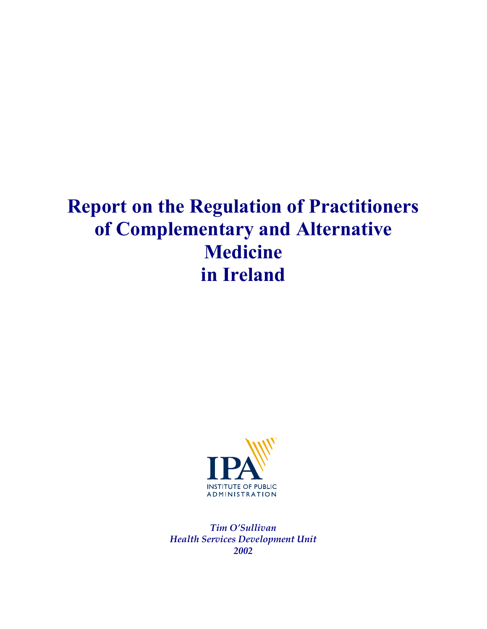# **Report on the Regulation of Practitioners of Complementary and Alternative Medicine in Ireland**



*Tim O'Sullivan Health Services Development Unit 2002*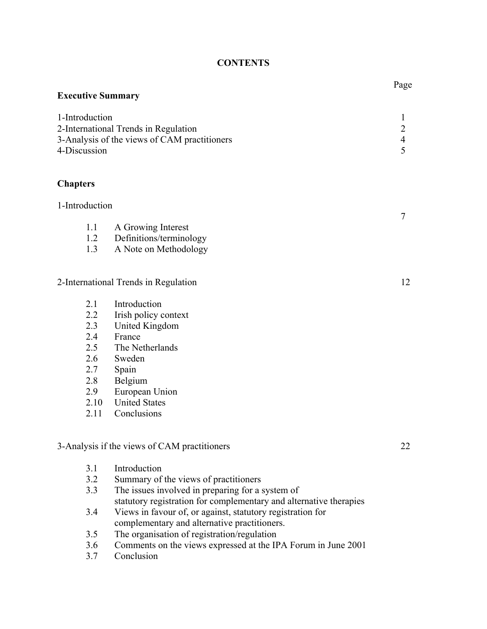# **CONTENTS**

| 1-Introduction<br>2-International Trends in Regulation<br>3-Analysis of the views of CAM practitioners<br>4-Discussion |                                                                                           |  |
|------------------------------------------------------------------------------------------------------------------------|-------------------------------------------------------------------------------------------|--|
| <b>Chapters</b>                                                                                                        |                                                                                           |  |
| 1-Introduction                                                                                                         |                                                                                           |  |
| 1.1                                                                                                                    | A Growing Interest                                                                        |  |
| 1.2                                                                                                                    | Definitions/terminology                                                                   |  |
| 1.3                                                                                                                    | A Note on Methodology                                                                     |  |
|                                                                                                                        | 2-International Trends in Regulation                                                      |  |
| 2.1                                                                                                                    | Introduction                                                                              |  |
| 2.2                                                                                                                    | Irish policy context                                                                      |  |
| 2.3                                                                                                                    | United Kingdom                                                                            |  |
| 2.4                                                                                                                    | France                                                                                    |  |
| 2.5                                                                                                                    | The Netherlands                                                                           |  |
| 2.6                                                                                                                    | Sweden                                                                                    |  |
| 2.7                                                                                                                    | Spain                                                                                     |  |
| 2.8                                                                                                                    | Belgium                                                                                   |  |
| 2.9                                                                                                                    | European Union                                                                            |  |
|                                                                                                                        |                                                                                           |  |
| 2.10<br>2.11                                                                                                           | <b>United States</b><br>Conclusions                                                       |  |
|                                                                                                                        | 3-Analysis if the views of CAM practitioners                                              |  |
|                                                                                                                        |                                                                                           |  |
| 3.1                                                                                                                    | Introduction                                                                              |  |
| 3.2<br>3.3                                                                                                             | Summary of the views of practitioners<br>The issues involved in preparing for a system of |  |

- 3.4 Views in favour of, or against, statutory registration for complementary and alternative practitioners.
- 3.5 The organisation of registration/regulation<br>3.6 Comments on the views expressed at the IP
- 3.6 Comments on the views expressed at the IPA Forum in June 2001<br>3.7 Conclusion
- **Conclusion**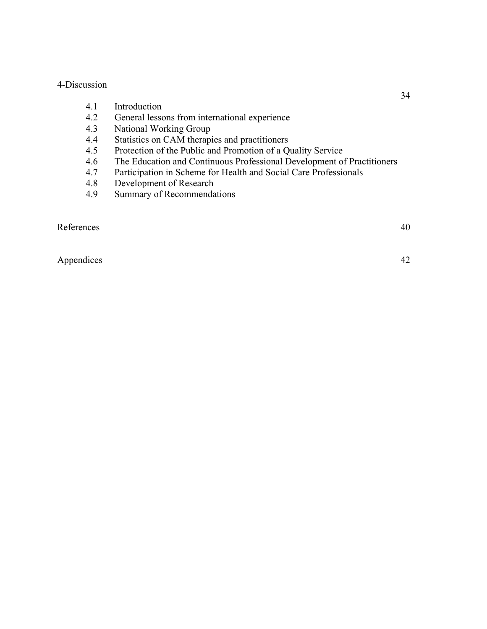### 4-Discussion

- 4.1 Introduction
- 4.2 General lessons from international experience
- 4.3 National Working Group
- 4.4 Statistics on CAM therapies and practitioners
- 4.5 Protection of the Public and Promotion of a Quality Service
- 4.6 The Education and Continuous Professional Development of Practitioners
- 4.7 Participation in Scheme for Health and Social Care Professionals
- 4.8 Development of Research
- 4.9 Summary of Recommendations

References 40

Appendices 42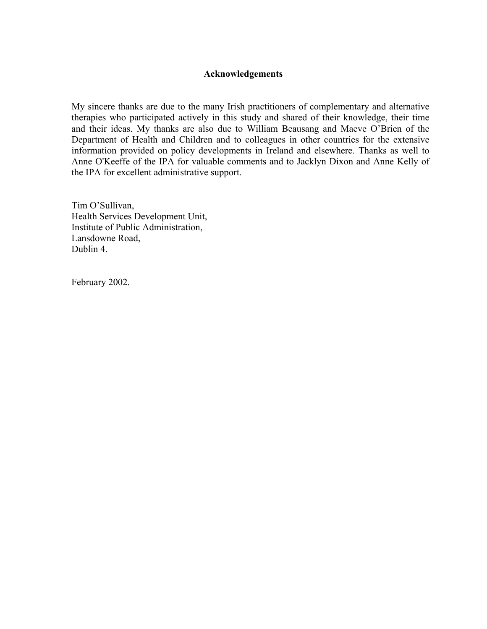### **Acknowledgements**

My sincere thanks are due to the many Irish practitioners of complementary and alternative therapies who participated actively in this study and shared of their knowledge, their time and their ideas. My thanks are also due to William Beausang and Maeve O'Brien of the Department of Health and Children and to colleagues in other countries for the extensive information provided on policy developments in Ireland and elsewhere. Thanks as well to Anne O'Keeffe of the IPA for valuable comments and to Jacklyn Dixon and Anne Kelly of the IPA for excellent administrative support.

Tim O'Sullivan, Health Services Development Unit, Institute of Public Administration, Lansdowne Road, Dublin 4.

February 2002.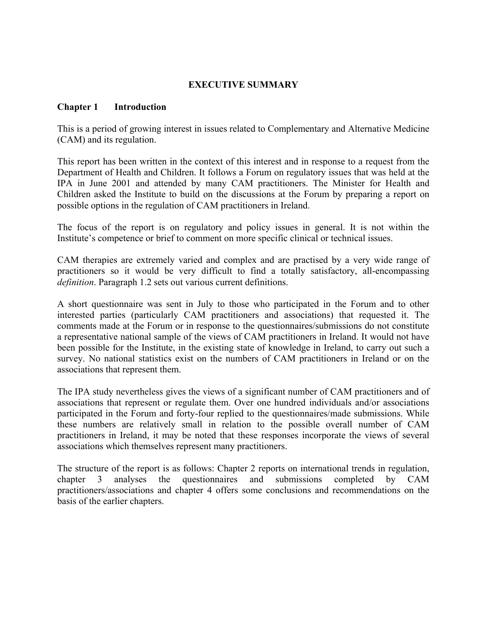### **EXECUTIVE SUMMARY**

### **Chapter 1 Introduction**

This is a period of growing interest in issues related to Complementary and Alternative Medicine (CAM) and its regulation.

This report has been written in the context of this interest and in response to a request from the Department of Health and Children. It follows a Forum on regulatory issues that was held at the IPA in June 2001 and attended by many CAM practitioners. The Minister for Health and Children asked the Institute to build on the discussions at the Forum by preparing a report on possible options in the regulation of CAM practitioners in Ireland.

The focus of the report is on regulatory and policy issues in general. It is not within the Institute's competence or brief to comment on more specific clinical or technical issues.

CAM therapies are extremely varied and complex and are practised by a very wide range of practitioners so it would be very difficult to find a totally satisfactory, all-encompassing *definition*. Paragraph 1.2 sets out various current definitions.

A short questionnaire was sent in July to those who participated in the Forum and to other interested parties (particularly CAM practitioners and associations) that requested it. The comments made at the Forum or in response to the questionnaires/submissions do not constitute a representative national sample of the views of CAM practitioners in Ireland. It would not have been possible for the Institute, in the existing state of knowledge in Ireland, to carry out such a survey. No national statistics exist on the numbers of CAM practitioners in Ireland or on the associations that represent them.

The IPA study nevertheless gives the views of a significant number of CAM practitioners and of associations that represent or regulate them. Over one hundred individuals and/or associations participated in the Forum and forty-four replied to the questionnaires/made submissions. While these numbers are relatively small in relation to the possible overall number of CAM practitioners in Ireland, it may be noted that these responses incorporate the views of several associations which themselves represent many practitioners.

The structure of the report is as follows: Chapter 2 reports on international trends in regulation, chapter 3 analyses the questionnaires and submissions completed by CAM practitioners/associations and chapter 4 offers some conclusions and recommendations on the basis of the earlier chapters.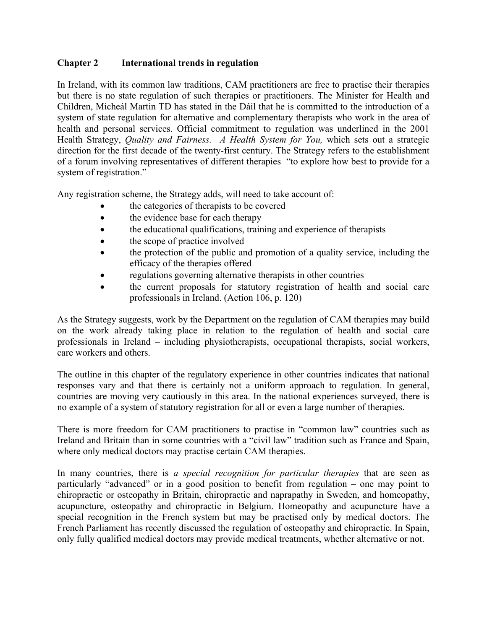# **Chapter 2 International trends in regulation**

In Ireland, with its common law traditions, CAM practitioners are free to practise their therapies but there is no state regulation of such therapies or practitioners. The Minister for Health and Children, Micheál Martin TD has stated in the Dáil that he is committed to the introduction of a system of state regulation for alternative and complementary therapists who work in the area of health and personal services. Official commitment to regulation was underlined in the 2001 Health Strategy, *Quality and Fairness. A Health System for You,* which sets out a strategic direction for the first decade of the twenty-first century. The Strategy refers to the establishment of a forum involving representatives of different therapies "to explore how best to provide for a system of registration."

Any registration scheme, the Strategy adds, will need to take account of:

- the categories of therapists to be covered
- the evidence base for each therapy
- the educational qualifications, training and experience of therapists
- the scope of practice involved
- the protection of the public and promotion of a quality service, including the efficacy of the therapies offered
- regulations governing alternative therapists in other countries
- the current proposals for statutory registration of health and social care professionals in Ireland. (Action 106, p. 120)

As the Strategy suggests, work by the Department on the regulation of CAM therapies may build on the work already taking place in relation to the regulation of health and social care professionals in Ireland – including physiotherapists, occupational therapists, social workers, care workers and others.

The outline in this chapter of the regulatory experience in other countries indicates that national responses vary and that there is certainly not a uniform approach to regulation. In general, countries are moving very cautiously in this area. In the national experiences surveyed, there is no example of a system of statutory registration for all or even a large number of therapies.

There is more freedom for CAM practitioners to practise in "common law" countries such as Ireland and Britain than in some countries with a "civil law" tradition such as France and Spain, where only medical doctors may practise certain CAM therapies.

In many countries, there is *a special recognition for particular therapies* that are seen as particularly "advanced" or in a good position to benefit from regulation – one may point to chiropractic or osteopathy in Britain, chiropractic and naprapathy in Sweden, and homeopathy, acupuncture, osteopathy and chiropractic in Belgium. Homeopathy and acupuncture have a special recognition in the French system but may be practised only by medical doctors. The French Parliament has recently discussed the regulation of osteopathy and chiropractic. In Spain, only fully qualified medical doctors may provide medical treatments, whether alternative or not.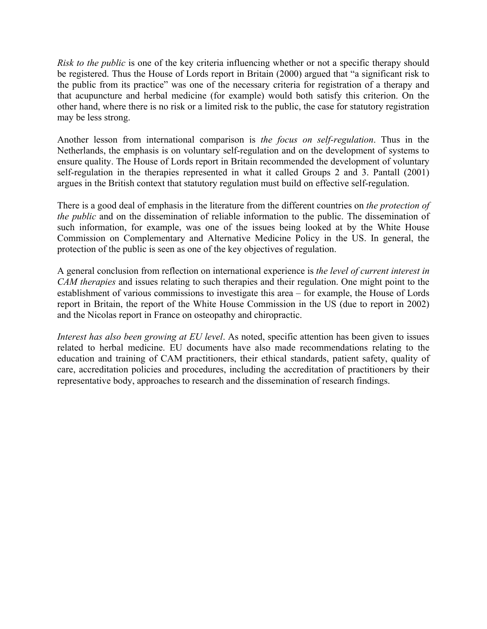*Risk to the public* is one of the key criteria influencing whether or not a specific therapy should be registered. Thus the House of Lords report in Britain (2000) argued that "a significant risk to the public from its practice" was one of the necessary criteria for registration of a therapy and that acupuncture and herbal medicine (for example) would both satisfy this criterion. On the other hand, where there is no risk or a limited risk to the public, the case for statutory registration may be less strong.

Another lesson from international comparison is *the focus on self-regulation*. Thus in the Netherlands, the emphasis is on voluntary self-regulation and on the development of systems to ensure quality. The House of Lords report in Britain recommended the development of voluntary self-regulation in the therapies represented in what it called Groups 2 and 3. Pantall (2001) argues in the British context that statutory regulation must build on effective self-regulation.

There is a good deal of emphasis in the literature from the different countries on *the protection of the public* and on the dissemination of reliable information to the public. The dissemination of such information, for example, was one of the issues being looked at by the White House Commission on Complementary and Alternative Medicine Policy in the US. In general, the protection of the public is seen as one of the key objectives of regulation.

A general conclusion from reflection on international experience is *the level of current interest in CAM therapies* and issues relating to such therapies and their regulation. One might point to the establishment of various commissions to investigate this area – for example, the House of Lords report in Britain, the report of the White House Commission in the US (due to report in 2002) and the Nicolas report in France on osteopathy and chiropractic.

*Interest has also been growing at EU level*. As noted, specific attention has been given to issues related to herbal medicine. EU documents have also made recommendations relating to the education and training of CAM practitioners, their ethical standards, patient safety, quality of care, accreditation policies and procedures, including the accreditation of practitioners by their representative body, approaches to research and the dissemination of research findings.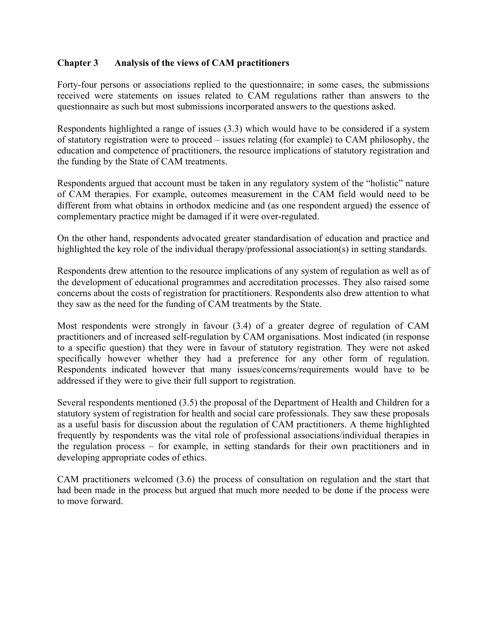### **Chapter 3 Analysis of the views of CAM practitioners**

Forty-four persons or associations replied to the questionnaire; in some cases, the submissions received were statements on issues related to CAM regulations rather than answers to the questionnaire as such but most submissions incorporated answers to the questions asked.

Respondents highlighted a range of issues (3.3) which would have to be considered if a system of statutory registration were to proceed – issues relating (for example) to CAM philosophy, the education and competence of practitioners, the resource implications of statutory registration and the funding by the State of CAM treatments.

Respondents argued that account must be taken in any regulatory system of the "holistic" nature of CAM therapies. For example, outcomes measurement in the CAM field would need to be different from what obtains in orthodox medicine and (as one respondent argued) the essence of complementary practice might be damaged if it were over-regulated.

On the other hand, respondents advocated greater standardisation of education and practice and highlighted the key role of the individual therapy/professional association(s) in setting standards.

Respondents drew attention to the resource implications of any system of regulation as well as of the development of educational programmes and accreditation processes. They also raised some concerns about the costs of registration for practitioners. Respondents also drew attention to what they saw as the need for the funding of CAM treatments by the State.

Most respondents were strongly in favour (3.4) of a greater degree of regulation of CAM practitioners and of increased self-regulation by CAM organisations. Most indicated (in response to a specific question) that they were in favour of statutory registration. They were not asked specifically however whether they had a preference for any other form of regulation. Respondents indicated however that many issues/concerns/requirements would have to be addressed if they were to give their full support to registration.

Several respondents mentioned (3.5) the proposal of the Department of Health and Children for a statutory system of registration for health and social care professionals. They saw these proposals as a useful basis for discussion about the regulation of CAM practitioners. A theme highlighted frequently by respondents was the vital role of professional associations/individual therapies in the regulation process – for example, in setting standards for their own practitioners and in developing appropriate codes of ethics.

CAM practitioners welcomed (3.6) the process of consultation on regulation and the start that had been made in the process but argued that much more needed to be done if the process were to move forward.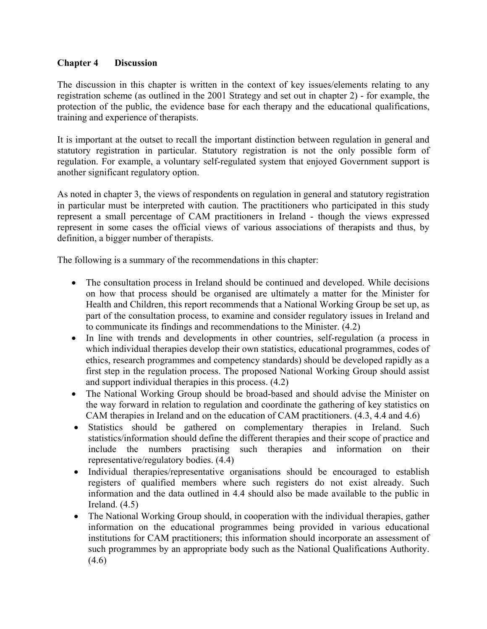### **Chapter 4 Discussion**

The discussion in this chapter is written in the context of key issues/elements relating to any registration scheme (as outlined in the 2001 Strategy and set out in chapter 2) - for example, the protection of the public, the evidence base for each therapy and the educational qualifications, training and experience of therapists.

It is important at the outset to recall the important distinction between regulation in general and statutory registration in particular. Statutory registration is not the only possible form of regulation. For example, a voluntary self-regulated system that enjoyed Government support is another significant regulatory option.

As noted in chapter 3, the views of respondents on regulation in general and statutory registration in particular must be interpreted with caution. The practitioners who participated in this study represent a small percentage of CAM practitioners in Ireland - though the views expressed represent in some cases the official views of various associations of therapists and thus, by definition, a bigger number of therapists.

The following is a summary of the recommendations in this chapter:

- The consultation process in Ireland should be continued and developed. While decisions on how that process should be organised are ultimately a matter for the Minister for Health and Children, this report recommends that a National Working Group be set up, as part of the consultation process, to examine and consider regulatory issues in Ireland and to communicate its findings and recommendations to the Minister. (4.2)
- In line with trends and developments in other countries, self-regulation (a process in which individual therapies develop their own statistics, educational programmes, codes of ethics, research programmes and competency standards) should be developed rapidly as a first step in the regulation process. The proposed National Working Group should assist and support individual therapies in this process. (4.2)
- The National Working Group should be broad-based and should advise the Minister on the way forward in relation to regulation and coordinate the gathering of key statistics on CAM therapies in Ireland and on the education of CAM practitioners. (4.3, 4.4 and 4.6)
- Statistics should be gathered on complementary therapies in Ireland. Such statistics/information should define the different therapies and their scope of practice and include the numbers practising such therapies and information on their representative/regulatory bodies. (4.4)
- Individual therapies/representative organisations should be encouraged to establish registers of qualified members where such registers do not exist already. Such information and the data outlined in 4.4 should also be made available to the public in Ireland.  $(4.5)$
- The National Working Group should, in cooperation with the individual therapies, gather information on the educational programmes being provided in various educational institutions for CAM practitioners; this information should incorporate an assessment of such programmes by an appropriate body such as the National Qualifications Authority. (4.6)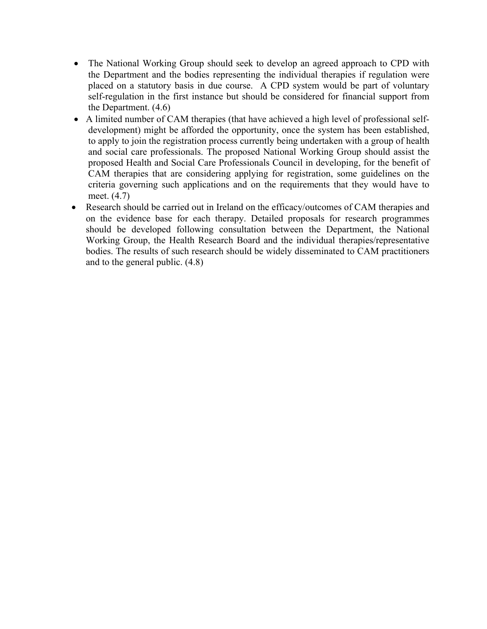- The National Working Group should seek to develop an agreed approach to CPD with the Department and the bodies representing the individual therapies if regulation were placed on a statutory basis in due course. A CPD system would be part of voluntary self-regulation in the first instance but should be considered for financial support from the Department. (4.6)
- A limited number of CAM therapies (that have achieved a high level of professional selfdevelopment) might be afforded the opportunity, once the system has been established, to apply to join the registration process currently being undertaken with a group of health and social care professionals. The proposed National Working Group should assist the proposed Health and Social Care Professionals Council in developing, for the benefit of CAM therapies that are considering applying for registration, some guidelines on the criteria governing such applications and on the requirements that they would have to meet. (4.7)
- Research should be carried out in Ireland on the efficacy/outcomes of CAM therapies and on the evidence base for each therapy. Detailed proposals for research programmes should be developed following consultation between the Department, the National Working Group, the Health Research Board and the individual therapies/representative bodies. The results of such research should be widely disseminated to CAM practitioners and to the general public. (4.8)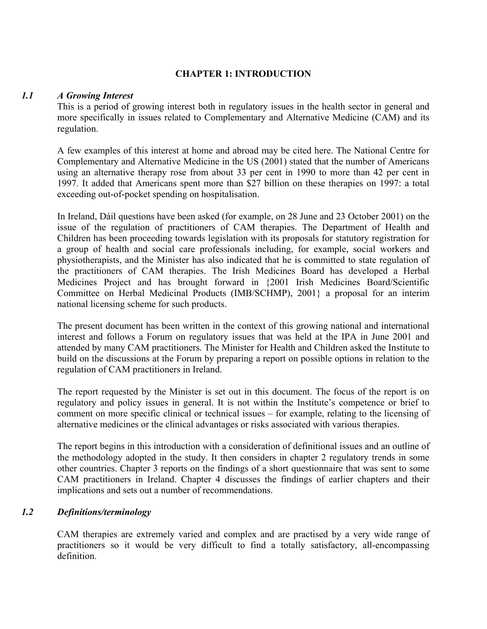### **CHAPTER 1: INTRODUCTION**

### *1.1 A Growing Interest*

This is a period of growing interest both in regulatory issues in the health sector in general and more specifically in issues related to Complementary and Alternative Medicine (CAM) and its regulation.

A few examples of this interest at home and abroad may be cited here. The National Centre for Complementary and Alternative Medicine in the US (2001) stated that the number of Americans using an alternative therapy rose from about 33 per cent in 1990 to more than 42 per cent in 1997. It added that Americans spent more than \$27 billion on these therapies on 1997: a total exceeding out-of-pocket spending on hospitalisation.

In Ireland, Dáil questions have been asked (for example, on 28 June and 23 October 2001) on the issue of the regulation of practitioners of CAM therapies. The Department of Health and Children has been proceeding towards legislation with its proposals for statutory registration for a group of health and social care professionals including, for example, social workers and physiotherapists, and the Minister has also indicated that he is committed to state regulation of the practitioners of CAM therapies. The Irish Medicines Board has developed a Herbal Medicines Project and has brought forward in {2001 Irish Medicines Board/Scientific Committee on Herbal Medicinal Products (IMB/SCHMP), 2001} a proposal for an interim national licensing scheme for such products.

The present document has been written in the context of this growing national and international interest and follows a Forum on regulatory issues that was held at the IPA in June 2001 and attended by many CAM practitioners. The Minister for Health and Children asked the Institute to build on the discussions at the Forum by preparing a report on possible options in relation to the regulation of CAM practitioners in Ireland.

The report requested by the Minister is set out in this document. The focus of the report is on regulatory and policy issues in general. It is not within the Institute's competence or brief to comment on more specific clinical or technical issues – for example, relating to the licensing of alternative medicines or the clinical advantages or risks associated with various therapies.

The report begins in this introduction with a consideration of definitional issues and an outline of the methodology adopted in the study. It then considers in chapter 2 regulatory trends in some other countries. Chapter 3 reports on the findings of a short questionnaire that was sent to some CAM practitioners in Ireland. Chapter 4 discusses the findings of earlier chapters and their implications and sets out a number of recommendations.

### *1.2 Definitions/terminology*

CAM therapies are extremely varied and complex and are practised by a very wide range of practitioners so it would be very difficult to find a totally satisfactory, all-encompassing definition.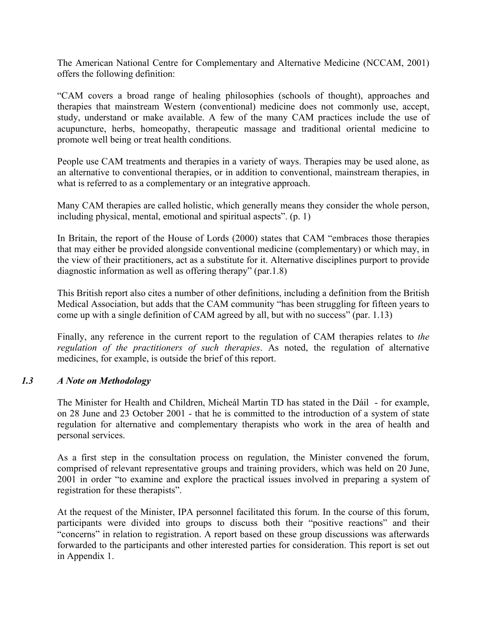The American National Centre for Complementary and Alternative Medicine (NCCAM, 2001) offers the following definition:

"CAM covers a broad range of healing philosophies (schools of thought), approaches and therapies that mainstream Western (conventional) medicine does not commonly use, accept, study, understand or make available. A few of the many CAM practices include the use of acupuncture, herbs, homeopathy, therapeutic massage and traditional oriental medicine to promote well being or treat health conditions.

People use CAM treatments and therapies in a variety of ways. Therapies may be used alone, as an alternative to conventional therapies, or in addition to conventional, mainstream therapies, in what is referred to as a complementary or an integrative approach.

Many CAM therapies are called holistic, which generally means they consider the whole person, including physical, mental, emotional and spiritual aspects". (p. 1)

In Britain, the report of the House of Lords (2000) states that CAM "embraces those therapies that may either be provided alongside conventional medicine (complementary) or which may, in the view of their practitioners, act as a substitute for it. Alternative disciplines purport to provide diagnostic information as well as offering therapy" (par.1.8)

This British report also cites a number of other definitions, including a definition from the British Medical Association, but adds that the CAM community "has been struggling for fifteen years to come up with a single definition of CAM agreed by all, but with no success" (par. 1.13)

Finally, any reference in the current report to the regulation of CAM therapies relates to *the regulation of the practitioners of such therapies*. As noted, the regulation of alternative medicines, for example, is outside the brief of this report.

### *1.3 A Note on Methodology*

The Minister for Health and Children, Micheál Martin TD has stated in the Dáil - for example, on 28 June and 23 October 2001 - that he is committed to the introduction of a system of state regulation for alternative and complementary therapists who work in the area of health and personal services.

As a first step in the consultation process on regulation, the Minister convened the forum, comprised of relevant representative groups and training providers, which was held on 20 June, 2001 in order "to examine and explore the practical issues involved in preparing a system of registration for these therapists".

At the request of the Minister, IPA personnel facilitated this forum. In the course of this forum, participants were divided into groups to discuss both their "positive reactions" and their "concerns" in relation to registration. A report based on these group discussions was afterwards forwarded to the participants and other interested parties for consideration. This report is set out in Appendix 1.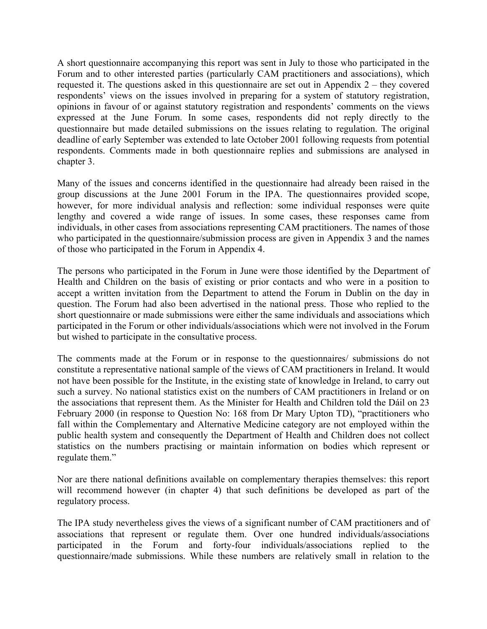A short questionnaire accompanying this report was sent in July to those who participated in the Forum and to other interested parties (particularly CAM practitioners and associations), which requested it. The questions asked in this questionnaire are set out in Appendix 2 – they covered respondents' views on the issues involved in preparing for a system of statutory registration, opinions in favour of or against statutory registration and respondents' comments on the views expressed at the June Forum. In some cases, respondents did not reply directly to the questionnaire but made detailed submissions on the issues relating to regulation. The original deadline of early September was extended to late October 2001 following requests from potential respondents. Comments made in both questionnaire replies and submissions are analysed in chapter 3.

Many of the issues and concerns identified in the questionnaire had already been raised in the group discussions at the June 2001 Forum in the IPA. The questionnaires provided scope, however, for more individual analysis and reflection: some individual responses were quite lengthy and covered a wide range of issues. In some cases, these responses came from individuals, in other cases from associations representing CAM practitioners. The names of those who participated in the questionnaire/submission process are given in Appendix 3 and the names of those who participated in the Forum in Appendix 4.

The persons who participated in the Forum in June were those identified by the Department of Health and Children on the basis of existing or prior contacts and who were in a position to accept a written invitation from the Department to attend the Forum in Dublin on the day in question. The Forum had also been advertised in the national press. Those who replied to the short questionnaire or made submissions were either the same individuals and associations which participated in the Forum or other individuals/associations which were not involved in the Forum but wished to participate in the consultative process.

The comments made at the Forum or in response to the questionnaires/ submissions do not constitute a representative national sample of the views of CAM practitioners in Ireland. It would not have been possible for the Institute, in the existing state of knowledge in Ireland, to carry out such a survey. No national statistics exist on the numbers of CAM practitioners in Ireland or on the associations that represent them. As the Minister for Health and Children told the Dáil on 23 February 2000 (in response to Question No: 168 from Dr Mary Upton TD), "practitioners who fall within the Complementary and Alternative Medicine category are not employed within the public health system and consequently the Department of Health and Children does not collect statistics on the numbers practising or maintain information on bodies which represent or regulate them."

Nor are there national definitions available on complementary therapies themselves: this report will recommend however (in chapter 4) that such definitions be developed as part of the regulatory process.

The IPA study nevertheless gives the views of a significant number of CAM practitioners and of associations that represent or regulate them. Over one hundred individuals/associations participated in the Forum and forty-four individuals/associations replied to the questionnaire/made submissions. While these numbers are relatively small in relation to the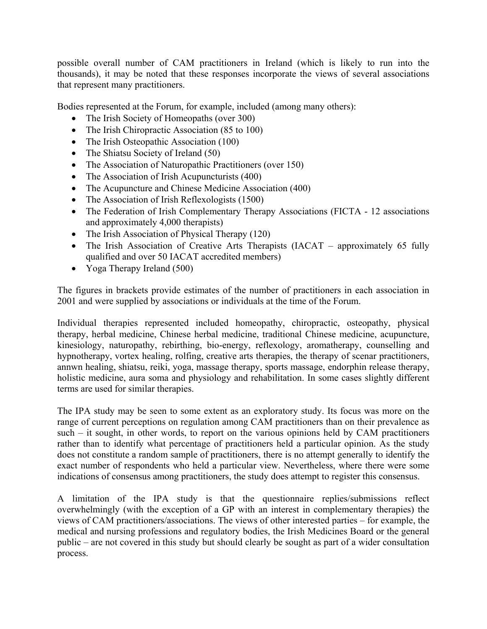possible overall number of CAM practitioners in Ireland (which is likely to run into the thousands), it may be noted that these responses incorporate the views of several associations that represent many practitioners.

Bodies represented at the Forum, for example, included (among many others):

- The Irish Society of Homeopaths (over 300)
- The Irish Chiropractic Association (85 to 100)
- The Irish Osteopathic Association (100)
- The Shiatsu Society of Ireland (50)
- The Association of Naturopathic Practitioners (over 150)
- The Association of Irish Acupuncturists (400)
- The Acupuncture and Chinese Medicine Association (400)
- The Association of Irish Reflexologists (1500)
- The Federation of Irish Complementary Therapy Associations (FICTA 12 associations and approximately 4,000 therapists)
- The Irish Association of Physical Therapy (120)
- The Irish Association of Creative Arts Therapists (IACAT approximately 65 fully qualified and over 50 IACAT accredited members)
- Yoga Therapy Ireland (500)

The figures in brackets provide estimates of the number of practitioners in each association in 2001 and were supplied by associations or individuals at the time of the Forum.

Individual therapies represented included homeopathy, chiropractic, osteopathy, physical therapy, herbal medicine, Chinese herbal medicine, traditional Chinese medicine, acupuncture, kinesiology, naturopathy, rebirthing, bio-energy, reflexology, aromatherapy, counselling and hypnotherapy, vortex healing, rolfing, creative arts therapies, the therapy of scenar practitioners, annwn healing, shiatsu, reiki, yoga, massage therapy, sports massage, endorphin release therapy, holistic medicine, aura soma and physiology and rehabilitation. In some cases slightly different terms are used for similar therapies.

The IPA study may be seen to some extent as an exploratory study. Its focus was more on the range of current perceptions on regulation among CAM practitioners than on their prevalence as such – it sought, in other words, to report on the various opinions held by CAM practitioners rather than to identify what percentage of practitioners held a particular opinion. As the study does not constitute a random sample of practitioners, there is no attempt generally to identify the exact number of respondents who held a particular view. Nevertheless, where there were some indications of consensus among practitioners, the study does attempt to register this consensus.

A limitation of the IPA study is that the questionnaire replies/submissions reflect overwhelmingly (with the exception of a GP with an interest in complementary therapies) the views of CAM practitioners/associations. The views of other interested parties – for example, the medical and nursing professions and regulatory bodies, the Irish Medicines Board or the general public – are not covered in this study but should clearly be sought as part of a wider consultation process.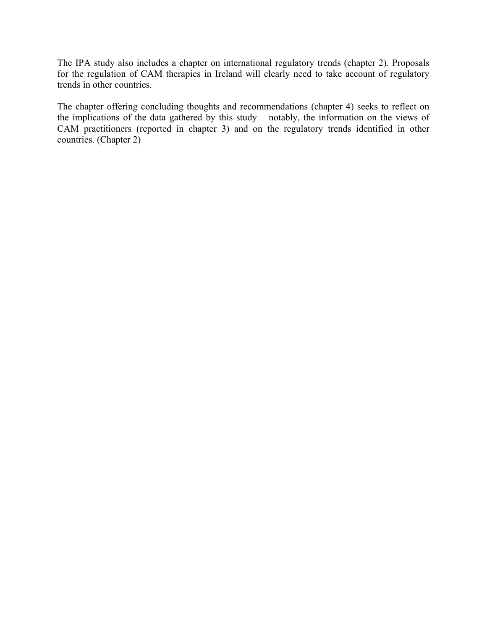The IPA study also includes a chapter on international regulatory trends (chapter 2). Proposals for the regulation of CAM therapies in Ireland will clearly need to take account of regulatory trends in other countries.

The chapter offering concluding thoughts and recommendations (chapter 4) seeks to reflect on the implications of the data gathered by this study – notably, the information on the views of CAM practitioners (reported in chapter 3) and on the regulatory trends identified in other countries. (Chapter 2)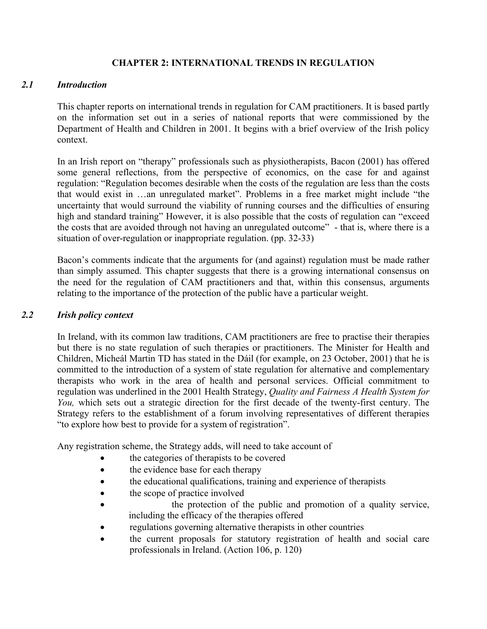### **CHAPTER 2: INTERNATIONAL TRENDS IN REGULATION**

### *2.1 Introduction*

This chapter reports on international trends in regulation for CAM practitioners. It is based partly on the information set out in a series of national reports that were commissioned by the Department of Health and Children in 2001. It begins with a brief overview of the Irish policy context.

In an Irish report on "therapy" professionals such as physiotherapists, Bacon (2001) has offered some general reflections, from the perspective of economics, on the case for and against regulation: "Regulation becomes desirable when the costs of the regulation are less than the costs that would exist in …an unregulated market". Problems in a free market might include "the uncertainty that would surround the viability of running courses and the difficulties of ensuring high and standard training" However, it is also possible that the costs of regulation can "exceed the costs that are avoided through not having an unregulated outcome" - that is, where there is a situation of over-regulation or inappropriate regulation. (pp. 32-33)

Bacon's comments indicate that the arguments for (and against) regulation must be made rather than simply assumed. This chapter suggests that there is a growing international consensus on the need for the regulation of CAM practitioners and that, within this consensus, arguments relating to the importance of the protection of the public have a particular weight.

### *2.2 Irish policy context*

In Ireland, with its common law traditions, CAM practitioners are free to practise their therapies but there is no state regulation of such therapies or practitioners. The Minister for Health and Children, Micheál Martin TD has stated in the Dáil (for example, on 23 October, 2001) that he is committed to the introduction of a system of state regulation for alternative and complementary therapists who work in the area of health and personal services. Official commitment to regulation was underlined in the 2001 Health Strategy, *Quality and Fairness A Health System for You,* which sets out a strategic direction for the first decade of the twenty-first century. The Strategy refers to the establishment of a forum involving representatives of different therapies "to explore how best to provide for a system of registration".

Any registration scheme, the Strategy adds, will need to take account of

- the categories of therapists to be covered
- the evidence base for each therapy
- the educational qualifications, training and experience of therapists
- the scope of practice involved
- the protection of the public and promotion of a quality service, including the efficacy of the therapies offered
- regulations governing alternative therapists in other countries
- the current proposals for statutory registration of health and social care professionals in Ireland. (Action 106, p. 120)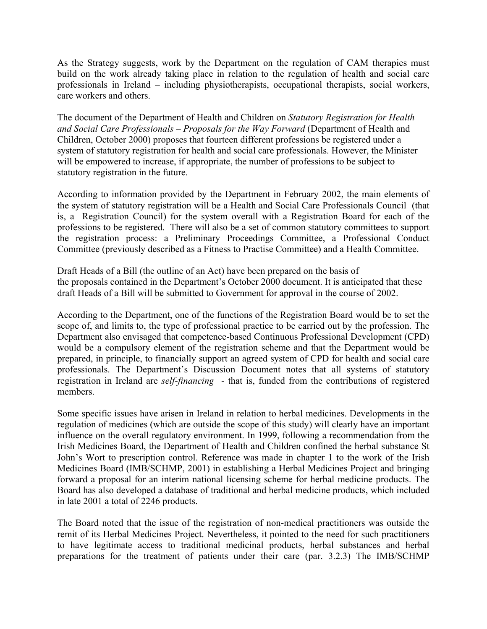As the Strategy suggests, work by the Department on the regulation of CAM therapies must build on the work already taking place in relation to the regulation of health and social care professionals in Ireland – including physiotherapists, occupational therapists, social workers, care workers and others.

The document of the Department of Health and Children on *Statutory Registration for Health and Social Care Professionals – Proposals for the Way Forward* (Department of Health and Children, October 2000) proposes that fourteen different professions be registered under a system of statutory registration for health and social care professionals. However, the Minister will be empowered to increase, if appropriate, the number of professions to be subject to statutory registration in the future.

According to information provided by the Department in February 2002, the main elements of the system of statutory registration will be a Health and Social Care Professionals Council (that is, a Registration Council) for the system overall with a Registration Board for each of the professions to be registered. There will also be a set of common statutory committees to support the registration process: a Preliminary Proceedings Committee, a Professional Conduct Committee (previously described as a Fitness to Practise Committee) and a Health Committee.

Draft Heads of a Bill (the outline of an Act) have been prepared on the basis of the proposals contained in the Department's October 2000 document. It is anticipated that these draft Heads of a Bill will be submitted to Government for approval in the course of 2002.

According to the Department, one of the functions of the Registration Board would be to set the scope of, and limits to, the type of professional practice to be carried out by the profession. The Department also envisaged that competence-based Continuous Professional Development (CPD) would be a compulsory element of the registration scheme and that the Department would be prepared, in principle, to financially support an agreed system of CPD for health and social care professionals. The Department's Discussion Document notes that all systems of statutory registration in Ireland are *self-financing -* that is, funded from the contributions of registered members.

Some specific issues have arisen in Ireland in relation to herbal medicines. Developments in the regulation of medicines (which are outside the scope of this study) will clearly have an important influence on the overall regulatory environment. In 1999, following a recommendation from the Irish Medicines Board, the Department of Health and Children confined the herbal substance St John's Wort to prescription control. Reference was made in chapter 1 to the work of the Irish Medicines Board (IMB/SCHMP, 2001) in establishing a Herbal Medicines Project and bringing forward a proposal for an interim national licensing scheme for herbal medicine products. The Board has also developed a database of traditional and herbal medicine products, which included in late 2001 a total of 2246 products.

The Board noted that the issue of the registration of non-medical practitioners was outside the remit of its Herbal Medicines Project. Nevertheless, it pointed to the need for such practitioners to have legitimate access to traditional medicinal products, herbal substances and herbal preparations for the treatment of patients under their care (par. 3.2.3) The IMB/SCHMP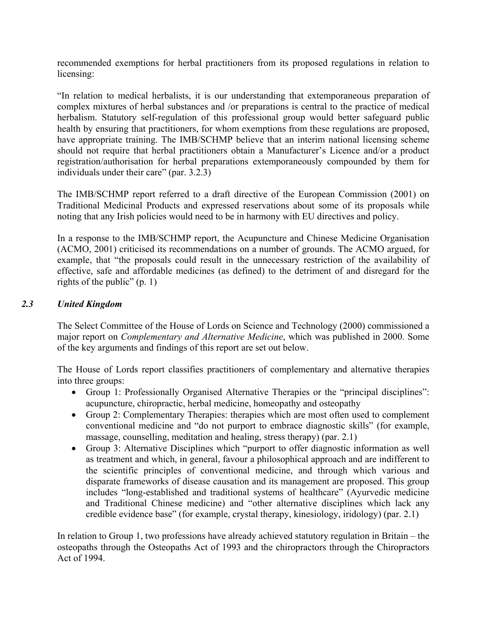recommended exemptions for herbal practitioners from its proposed regulations in relation to licensing:

"In relation to medical herbalists, it is our understanding that extemporaneous preparation of complex mixtures of herbal substances and /or preparations is central to the practice of medical herbalism. Statutory self-regulation of this professional group would better safeguard public health by ensuring that practitioners, for whom exemptions from these regulations are proposed, have appropriate training. The IMB/SCHMP believe that an interim national licensing scheme should not require that herbal practitioners obtain a Manufacturer's Licence and/or a product registration/authorisation for herbal preparations extemporaneously compounded by them for individuals under their care" (par. 3.2.3)

The IMB/SCHMP report referred to a draft directive of the European Commission (2001) on Traditional Medicinal Products and expressed reservations about some of its proposals while noting that any Irish policies would need to be in harmony with EU directives and policy.

In a response to the IMB/SCHMP report, the Acupuncture and Chinese Medicine Organisation (ACMO, 2001) criticised its recommendations on a number of grounds. The ACMO argued, for example, that "the proposals could result in the unnecessary restriction of the availability of effective, safe and affordable medicines (as defined) to the detriment of and disregard for the rights of the public" (p. 1)

### *2.3 United Kingdom*

The Select Committee of the House of Lords on Science and Technology (2000) commissioned a major report on *Complementary and Alternative Medicine*, which was published in 2000. Some of the key arguments and findings of this report are set out below.

The House of Lords report classifies practitioners of complementary and alternative therapies into three groups:

- Group 1: Professionally Organised Alternative Therapies or the "principal disciplines": acupuncture, chiropractic, herbal medicine, homeopathy and osteopathy
- Group 2: Complementary Therapies: therapies which are most often used to complement conventional medicine and "do not purport to embrace diagnostic skills" (for example, massage, counselling, meditation and healing, stress therapy) (par. 2.1)
- Group 3: Alternative Disciplines which "purport to offer diagnostic information as well as treatment and which, in general, favour a philosophical approach and are indifferent to the scientific principles of conventional medicine, and through which various and disparate frameworks of disease causation and its management are proposed. This group includes "long-established and traditional systems of healthcare" (Ayurvedic medicine and Traditional Chinese medicine) and "other alternative disciplines which lack any credible evidence base" (for example, crystal therapy, kinesiology, iridology) (par. 2.1)

In relation to Group 1, two professions have already achieved statutory regulation in Britain – the osteopaths through the Osteopaths Act of 1993 and the chiropractors through the Chiropractors Act of 1994.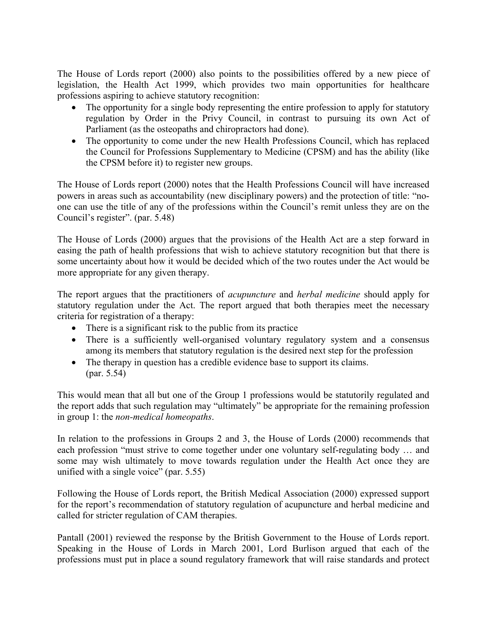The House of Lords report (2000) also points to the possibilities offered by a new piece of legislation, the Health Act 1999, which provides two main opportunities for healthcare professions aspiring to achieve statutory recognition:

- The opportunity for a single body representing the entire profession to apply for statutory regulation by Order in the Privy Council, in contrast to pursuing its own Act of Parliament (as the osteopaths and chiropractors had done).
- The opportunity to come under the new Health Professions Council, which has replaced the Council for Professions Supplementary to Medicine (CPSM) and has the ability (like the CPSM before it) to register new groups.

The House of Lords report (2000) notes that the Health Professions Council will have increased powers in areas such as accountability (new disciplinary powers) and the protection of title: "noone can use the title of any of the professions within the Council's remit unless they are on the Council's register". (par. 5.48)

The House of Lords (2000) argues that the provisions of the Health Act are a step forward in easing the path of health professions that wish to achieve statutory recognition but that there is some uncertainty about how it would be decided which of the two routes under the Act would be more appropriate for any given therapy.

The report argues that the practitioners of *acupuncture* and *herbal medicine* should apply for statutory regulation under the Act. The report argued that both therapies meet the necessary criteria for registration of a therapy:

- There is a significant risk to the public from its practice
- There is a sufficiently well-organised voluntary regulatory system and a consensus among its members that statutory regulation is the desired next step for the profession
- The therapy in question has a credible evidence base to support its claims. (par. 5.54)

This would mean that all but one of the Group 1 professions would be statutorily regulated and the report adds that such regulation may "ultimately" be appropriate for the remaining profession in group 1: the *non-medical homeopaths*.

In relation to the professions in Groups 2 and 3, the House of Lords (2000) recommends that each profession "must strive to come together under one voluntary self-regulating body … and some may wish ultimately to move towards regulation under the Health Act once they are unified with a single voice" (par. 5.55)

Following the House of Lords report, the British Medical Association (2000) expressed support for the report's recommendation of statutory regulation of acupuncture and herbal medicine and called for stricter regulation of CAM therapies.

Pantall (2001) reviewed the response by the British Government to the House of Lords report. Speaking in the House of Lords in March 2001, Lord Burlison argued that each of the professions must put in place a sound regulatory framework that will raise standards and protect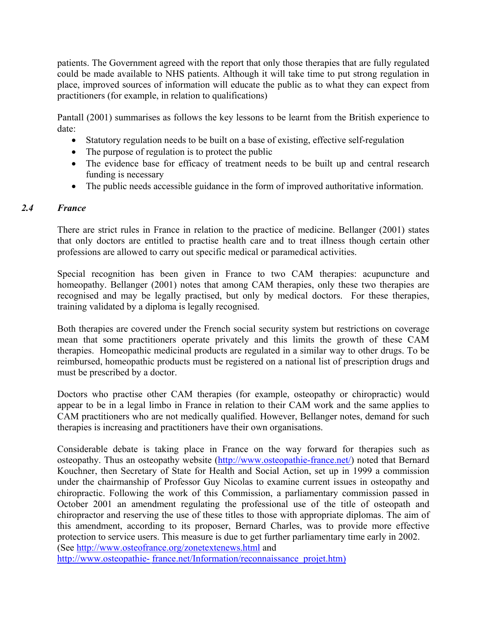patients. The Government agreed with the report that only those therapies that are fully regulated could be made available to NHS patients. Although it will take time to put strong regulation in place, improved sources of information will educate the public as to what they can expect from practitioners (for example, in relation to qualifications)

Pantall (2001) summarises as follows the key lessons to be learnt from the British experience to date:

- Statutory regulation needs to be built on a base of existing, effective self-regulation
- The purpose of regulation is to protect the public
- The evidence base for efficacy of treatment needs to be built up and central research funding is necessary
- The public needs accessible guidance in the form of improved authoritative information.

### *2.4 France*

There are strict rules in France in relation to the practice of medicine. Bellanger (2001) states that only doctors are entitled to practise health care and to treat illness though certain other professions are allowed to carry out specific medical or paramedical activities.

Special recognition has been given in France to two CAM therapies: acupuncture and homeopathy. Bellanger (2001) notes that among CAM therapies, only these two therapies are recognised and may be legally practised, but only by medical doctors. For these therapies, training validated by a diploma is legally recognised.

Both therapies are covered under the French social security system but restrictions on coverage mean that some practitioners operate privately and this limits the growth of these CAM therapies. Homeopathic medicinal products are regulated in a similar way to other drugs. To be reimbursed, homeopathic products must be registered on a national list of prescription drugs and must be prescribed by a doctor.

Doctors who practise other CAM therapies (for example, osteopathy or chiropractic) would appear to be in a legal limbo in France in relation to their CAM work and the same applies to CAM practitioners who are not medically qualified. However, Bellanger notes, demand for such therapies is increasing and practitioners have their own organisations.

Considerable debate is taking place in France on the way forward for therapies such as osteopathy. Thus an osteopathy website (http://www.osteopathie-france.net/) noted that Bernard Kouchner, then Secretary of State for Health and Social Action, set up in 1999 a commission under the chairmanship of Professor Guy Nicolas to examine current issues in osteopathy and chiropractic. Following the work of this Commission, a parliamentary commission passed in October 2001 an amendment regulating the professional use of the title of osteopath and chiropractor and reserving the use of these titles to those with appropriate diplomas. The aim of this amendment, according to its proposer, Bernard Charles, was to provide more effective protection to service users. This measure is due to get further parliamentary time early in 2002. (See http://www.osteofrance.org/zonetextenews.html and

http://www.osteopathie-france.net/Information/reconnaissance\_projet.htm)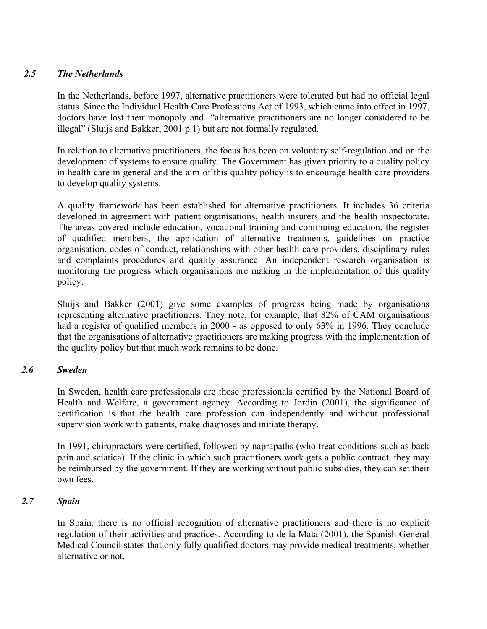### *2.5 The Netherlands*

In the Netherlands, before 1997, alternative practitioners were tolerated but had no official legal status. Since the Individual Health Care Professions Act of 1993, which came into effect in 1997, doctors have lost their monopoly and "alternative practitioners are no longer considered to be illegal" (Sluijs and Bakker, 2001 p.1) but are not formally regulated.

In relation to alternative practitioners, the focus has been on voluntary self-regulation and on the development of systems to ensure quality. The Government has given priority to a quality policy in health care in general and the aim of this quality policy is to encourage health care providers to develop quality systems.

A quality framework has been established for alternative practitioners. It includes 36 criteria developed in agreement with patient organisations, health insurers and the health inspectorate. The areas covered include education, vocational training and continuing education, the register of qualified members, the application of alternative treatments, guidelines on practice organisation, codes of conduct, relationships with other health care providers, disciplinary rules and complaints procedures and quality assurance. An independent research organisation is monitoring the progress which organisations are making in the implementation of this quality policy.

Sluijs and Bakker (2001) give some examples of progress being made by organisations representing alternative practitioners. They note, for example, that 82% of CAM organisations had a register of qualified members in 2000 - as opposed to only 63% in 1996. They conclude that the organisations of alternative practitioners are making progress with the implementation of the quality policy but that much work remains to be done.

### *2.6 Sweden*

In Sweden, health care professionals are those professionals certified by the National Board of Health and Welfare, a government agency. According to Jordin (2001), the significance of certification is that the health care profession can independently and without professional supervision work with patients, make diagnoses and initiate therapy.

In 1991, chiropractors were certified, followed by naprapaths (who treat conditions such as back pain and sciatica). If the clinic in which such practitioners work gets a public contract, they may be reimbursed by the government. If they are working without public subsidies, they can set their own fees.

### *2.7 Spain*

In Spain, there is no official recognition of alternative practitioners and there is no explicit regulation of their activities and practices. According to de la Mata (2001), the Spanish General Medical Council states that only fully qualified doctors may provide medical treatments, whether alternative or not.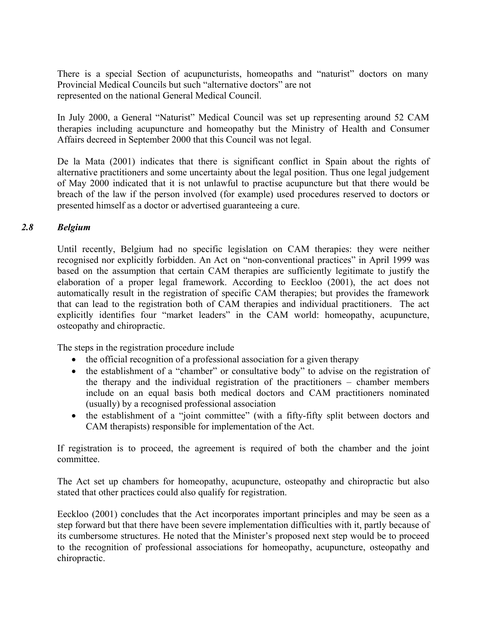There is a special Section of acupuncturists, homeopaths and "naturist" doctors on many Provincial Medical Councils but such "alternative doctors" are not represented on the national General Medical Council.

In July 2000, a General "Naturist" Medical Council was set up representing around 52 CAM therapies including acupuncture and homeopathy but the Ministry of Health and Consumer Affairs decreed in September 2000 that this Council was not legal.

De la Mata (2001) indicates that there is significant conflict in Spain about the rights of alternative practitioners and some uncertainty about the legal position. Thus one legal judgement of May 2000 indicated that it is not unlawful to practise acupuncture but that there would be breach of the law if the person involved (for example) used procedures reserved to doctors or presented himself as a doctor or advertised guaranteeing a cure.

### *2.8 Belgium*

Until recently, Belgium had no specific legislation on CAM therapies: they were neither recognised nor explicitly forbidden. An Act on "non-conventional practices" in April 1999 was based on the assumption that certain CAM therapies are sufficiently legitimate to justify the elaboration of a proper legal framework. According to Eeckloo (2001), the act does not automatically result in the registration of specific CAM therapies; but provides the framework that can lead to the registration both of CAM therapies and individual practitioners. The act explicitly identifies four "market leaders" in the CAM world: homeopathy, acupuncture, osteopathy and chiropractic.

The steps in the registration procedure include

- the official recognition of a professional association for a given therapy
- the establishment of a "chamber" or consultative body" to advise on the registration of the therapy and the individual registration of the practitioners – chamber members include on an equal basis both medical doctors and CAM practitioners nominated (usually) by a recognised professional association
- the establishment of a "joint committee" (with a fifty-fifty split between doctors and CAM therapists) responsible for implementation of the Act.

If registration is to proceed, the agreement is required of both the chamber and the joint committee.

The Act set up chambers for homeopathy, acupuncture, osteopathy and chiropractic but also stated that other practices could also qualify for registration.

Eeckloo (2001) concludes that the Act incorporates important principles and may be seen as a step forward but that there have been severe implementation difficulties with it, partly because of its cumbersome structures. He noted that the Minister's proposed next step would be to proceed to the recognition of professional associations for homeopathy, acupuncture, osteopathy and chiropractic.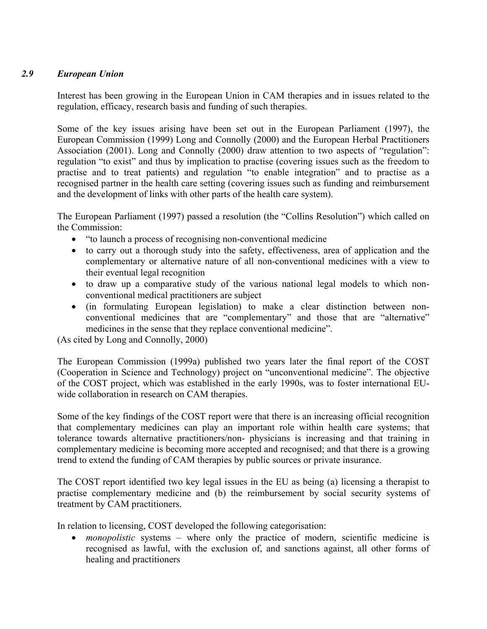### *2.9 European Union*

Interest has been growing in the European Union in CAM therapies and in issues related to the regulation, efficacy, research basis and funding of such therapies.

Some of the key issues arising have been set out in the European Parliament (1997), the European Commission (1999) Long and Connolly (2000) and the European Herbal Practitioners Association (2001). Long and Connolly (2000) draw attention to two aspects of "regulation": regulation "to exist" and thus by implication to practise (covering issues such as the freedom to practise and to treat patients) and regulation "to enable integration" and to practise as a recognised partner in the health care setting (covering issues such as funding and reimbursement and the development of links with other parts of the health care system).

The European Parliament (1997) passed a resolution (the "Collins Resolution") which called on the Commission:

- "to launch a process of recognising non-conventional medicine"
- to carry out a thorough study into the safety, effectiveness, area of application and the complementary or alternative nature of all non-conventional medicines with a view to their eventual legal recognition
- to draw up a comparative study of the various national legal models to which nonconventional medical practitioners are subject
- (in formulating European legislation) to make a clear distinction between nonconventional medicines that are "complementary" and those that are "alternative" medicines in the sense that they replace conventional medicine".

(As cited by Long and Connolly, 2000)

The European Commission (1999a) published two years later the final report of the COST (Cooperation in Science and Technology) project on "unconventional medicine". The objective of the COST project, which was established in the early 1990s, was to foster international EUwide collaboration in research on CAM therapies.

Some of the key findings of the COST report were that there is an increasing official recognition that complementary medicines can play an important role within health care systems; that tolerance towards alternative practitioners/non- physicians is increasing and that training in complementary medicine is becoming more accepted and recognised; and that there is a growing trend to extend the funding of CAM therapies by public sources or private insurance.

The COST report identified two key legal issues in the EU as being (a) licensing a therapist to practise complementary medicine and (b) the reimbursement by social security systems of treatment by CAM practitioners.

In relation to licensing, COST developed the following categorisation:

• *monopolistic* systems – where only the practice of modern, scientific medicine is recognised as lawful, with the exclusion of, and sanctions against, all other forms of healing and practitioners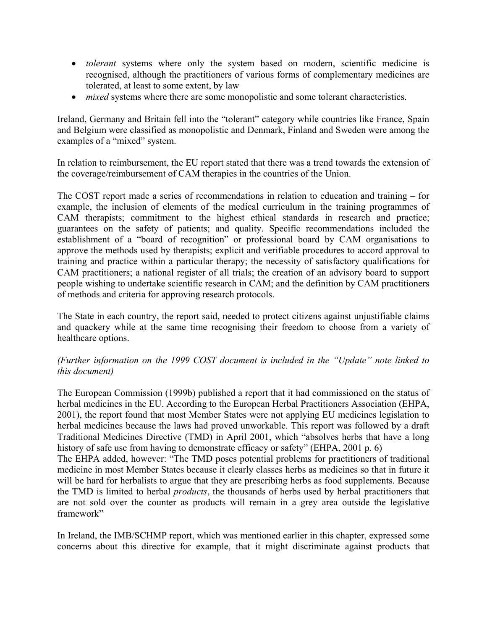- *tolerant* systems where only the system based on modern, scientific medicine is recognised, although the practitioners of various forms of complementary medicines are tolerated, at least to some extent, by law
- *mixed* systems where there are some monopolistic and some tolerant characteristics.

Ireland, Germany and Britain fell into the "tolerant" category while countries like France, Spain and Belgium were classified as monopolistic and Denmark, Finland and Sweden were among the examples of a "mixed" system.

In relation to reimbursement, the EU report stated that there was a trend towards the extension of the coverage/reimbursement of CAM therapies in the countries of the Union.

The COST report made a series of recommendations in relation to education and training – for example, the inclusion of elements of the medical curriculum in the training programmes of CAM therapists; commitment to the highest ethical standards in research and practice; guarantees on the safety of patients; and quality. Specific recommendations included the establishment of a "board of recognition" or professional board by CAM organisations to approve the methods used by therapists; explicit and verifiable procedures to accord approval to training and practice within a particular therapy; the necessity of satisfactory qualifications for CAM practitioners; a national register of all trials; the creation of an advisory board to support people wishing to undertake scientific research in CAM; and the definition by CAM practitioners of methods and criteria for approving research protocols.

The State in each country, the report said, needed to protect citizens against unjustifiable claims and quackery while at the same time recognising their freedom to choose from a variety of healthcare options.

### *(Further information on the 1999 COST document is included in the "Update" note linked to this document)*

The European Commission (1999b) published a report that it had commissioned on the status of herbal medicines in the EU. According to the European Herbal Practitioners Association (EHPA, 2001), the report found that most Member States were not applying EU medicines legislation to herbal medicines because the laws had proved unworkable. This report was followed by a draft Traditional Medicines Directive (TMD) in April 2001, which "absolves herbs that have a long history of safe use from having to demonstrate efficacy or safety" (EHPA, 2001 p. 6)

The EHPA added, however: "The TMD poses potential problems for practitioners of traditional medicine in most Member States because it clearly classes herbs as medicines so that in future it will be hard for herbalists to argue that they are prescribing herbs as food supplements. Because the TMD is limited to herbal *products*, the thousands of herbs used by herbal practitioners that are not sold over the counter as products will remain in a grey area outside the legislative framework"

In Ireland, the IMB/SCHMP report, which was mentioned earlier in this chapter, expressed some concerns about this directive for example, that it might discriminate against products that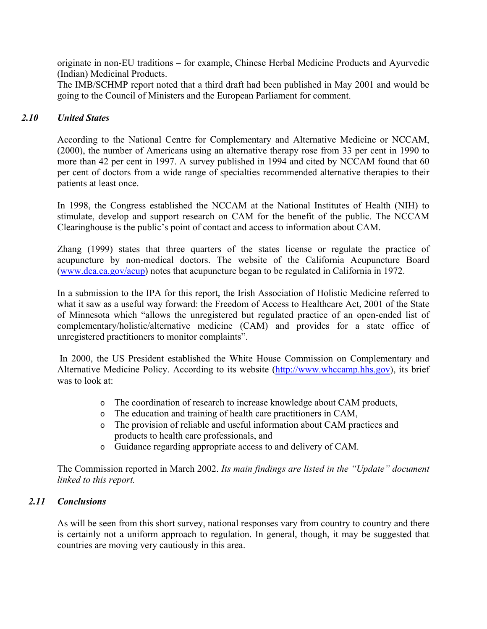originate in non-EU traditions – for example, Chinese Herbal Medicine Products and Ayurvedic (Indian) Medicinal Products.

The IMB/SCHMP report noted that a third draft had been published in May 2001 and would be going to the Council of Ministers and the European Parliament for comment.

### *2.10 United States*

According to the National Centre for Complementary and Alternative Medicine or NCCAM, (2000), the number of Americans using an alternative therapy rose from 33 per cent in 1990 to more than 42 per cent in 1997. A survey published in 1994 and cited by NCCAM found that 60 per cent of doctors from a wide range of specialties recommended alternative therapies to their patients at least once.

In 1998, the Congress established the NCCAM at the National Institutes of Health (NIH) to stimulate, develop and support research on CAM for the benefit of the public. The NCCAM Clearinghouse is the public's point of contact and access to information about CAM.

Zhang (1999) states that three quarters of the states license or regulate the practice of acupuncture by non-medical doctors. The website of the California Acupuncture Board (www.dca.ca.gov/acup) notes that acupuncture began to be regulated in California in 1972.

In a submission to the IPA for this report, the Irish Association of Holistic Medicine referred to what it saw as a useful way forward: the Freedom of Access to Healthcare Act, 2001 of the State of Minnesota which "allows the unregistered but regulated practice of an open-ended list of complementary/holistic/alternative medicine (CAM) and provides for a state office of unregistered practitioners to monitor complaints".

 In 2000, the US President established the White House Commission on Complementary and Alternative Medicine Policy. According to its website (http://www.whccamp.hhs.gov), its brief was to look at:

- o The coordination of research to increase knowledge about CAM products,
- o The education and training of health care practitioners in CAM,
- o The provision of reliable and useful information about CAM practices and products to health care professionals, and
- o Guidance regarding appropriate access to and delivery of CAM.

The Commission reported in March 2002. *Its main findings are listed in the "Update" document linked to this report.* 

### *2.11 Conclusions*

As will be seen from this short survey, national responses vary from country to country and there is certainly not a uniform approach to regulation. In general, though, it may be suggested that countries are moving very cautiously in this area.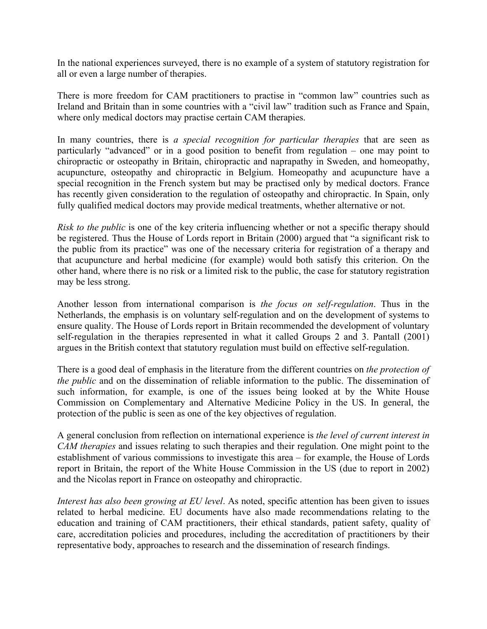In the national experiences surveyed, there is no example of a system of statutory registration for all or even a large number of therapies.

There is more freedom for CAM practitioners to practise in "common law" countries such as Ireland and Britain than in some countries with a "civil law" tradition such as France and Spain, where only medical doctors may practise certain CAM therapies.

In many countries, there is *a special recognition for particular therapies* that are seen as particularly "advanced" or in a good position to benefit from regulation – one may point to chiropractic or osteopathy in Britain, chiropractic and naprapathy in Sweden, and homeopathy, acupuncture, osteopathy and chiropractic in Belgium. Homeopathy and acupuncture have a special recognition in the French system but may be practised only by medical doctors. France has recently given consideration to the regulation of osteopathy and chiropractic. In Spain, only fully qualified medical doctors may provide medical treatments, whether alternative or not.

*Risk to the public* is one of the key criteria influencing whether or not a specific therapy should be registered. Thus the House of Lords report in Britain (2000) argued that "a significant risk to the public from its practice" was one of the necessary criteria for registration of a therapy and that acupuncture and herbal medicine (for example) would both satisfy this criterion. On the other hand, where there is no risk or a limited risk to the public, the case for statutory registration may be less strong.

Another lesson from international comparison is *the focus on self-regulation*. Thus in the Netherlands, the emphasis is on voluntary self-regulation and on the development of systems to ensure quality. The House of Lords report in Britain recommended the development of voluntary self-regulation in the therapies represented in what it called Groups 2 and 3. Pantall (2001) argues in the British context that statutory regulation must build on effective self-regulation.

There is a good deal of emphasis in the literature from the different countries on *the protection of the public* and on the dissemination of reliable information to the public. The dissemination of such information, for example, is one of the issues being looked at by the White House Commission on Complementary and Alternative Medicine Policy in the US. In general, the protection of the public is seen as one of the key objectives of regulation.

A general conclusion from reflection on international experience is *the level of current interest in CAM therapies* and issues relating to such therapies and their regulation. One might point to the establishment of various commissions to investigate this area – for example, the House of Lords report in Britain, the report of the White House Commission in the US (due to report in 2002) and the Nicolas report in France on osteopathy and chiropractic.

*Interest has also been growing at EU level*. As noted, specific attention has been given to issues related to herbal medicine. EU documents have also made recommendations relating to the education and training of CAM practitioners, their ethical standards, patient safety, quality of care, accreditation policies and procedures, including the accreditation of practitioners by their representative body, approaches to research and the dissemination of research findings.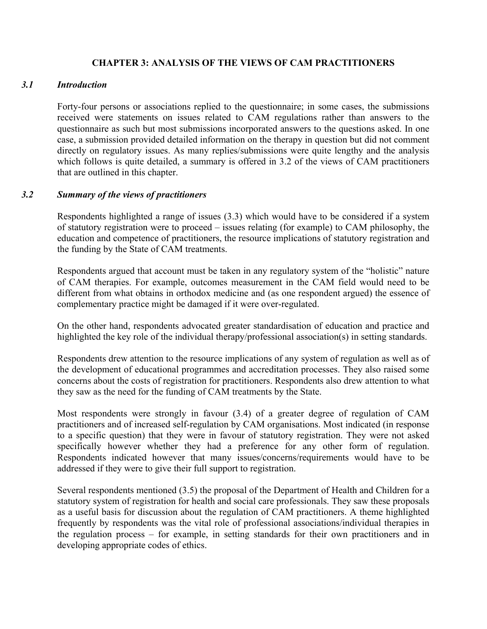### **CHAPTER 3: ANALYSIS OF THE VIEWS OF CAM PRACTITIONERS**

### *3.1 Introduction*

Forty-four persons or associations replied to the questionnaire; in some cases, the submissions received were statements on issues related to CAM regulations rather than answers to the questionnaire as such but most submissions incorporated answers to the questions asked. In one case, a submission provided detailed information on the therapy in question but did not comment directly on regulatory issues. As many replies/submissions were quite lengthy and the analysis which follows is quite detailed, a summary is offered in 3.2 of the views of CAM practitioners that are outlined in this chapter.

### *3.2 Summary of the views of practitioners*

Respondents highlighted a range of issues (3.3) which would have to be considered if a system of statutory registration were to proceed – issues relating (for example) to CAM philosophy, the education and competence of practitioners, the resource implications of statutory registration and the funding by the State of CAM treatments.

Respondents argued that account must be taken in any regulatory system of the "holistic" nature of CAM therapies. For example, outcomes measurement in the CAM field would need to be different from what obtains in orthodox medicine and (as one respondent argued) the essence of complementary practice might be damaged if it were over-regulated.

On the other hand, respondents advocated greater standardisation of education and practice and highlighted the key role of the individual therapy/professional association(s) in setting standards.

Respondents drew attention to the resource implications of any system of regulation as well as of the development of educational programmes and accreditation processes. They also raised some concerns about the costs of registration for practitioners. Respondents also drew attention to what they saw as the need for the funding of CAM treatments by the State.

Most respondents were strongly in favour (3.4) of a greater degree of regulation of CAM practitioners and of increased self-regulation by CAM organisations. Most indicated (in response to a specific question) that they were in favour of statutory registration. They were not asked specifically however whether they had a preference for any other form of regulation. Respondents indicated however that many issues/concerns/requirements would have to be addressed if they were to give their full support to registration.

Several respondents mentioned (3.5) the proposal of the Department of Health and Children for a statutory system of registration for health and social care professionals. They saw these proposals as a useful basis for discussion about the regulation of CAM practitioners. A theme highlighted frequently by respondents was the vital role of professional associations/individual therapies in the regulation process – for example, in setting standards for their own practitioners and in developing appropriate codes of ethics.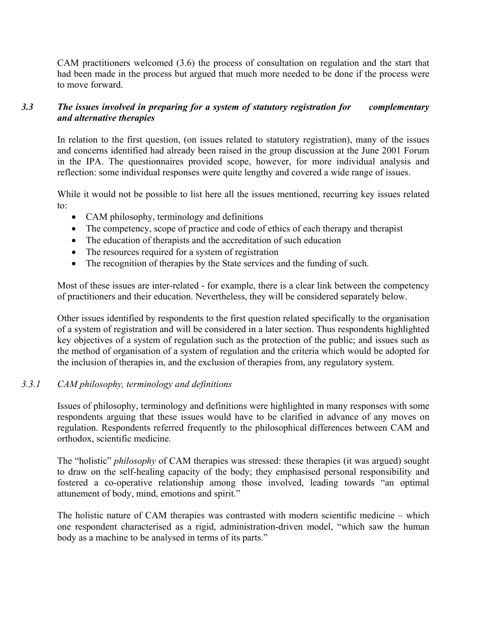CAM practitioners welcomed (3.6) the process of consultation on regulation and the start that had been made in the process but argued that much more needed to be done if the process were to move forward.

# *3.3 The issues involved in preparing for a system of statutory registration for complementary and alternative therapies*

In relation to the first question, (on issues related to statutory registration), many of the issues and concerns identified had already been raised in the group discussion at the June 2001 Forum in the IPA. The questionnaires provided scope, however, for more individual analysis and reflection: some individual responses were quite lengthy and covered a wide range of issues.

While it would not be possible to list here all the issues mentioned, recurring key issues related to:

- CAM philosophy, terminology and definitions
- The competency, scope of practice and code of ethics of each therapy and therapist
- The education of therapists and the accreditation of such education
- The resources required for a system of registration
- The recognition of therapies by the State services and the funding of such.

Most of these issues are inter-related - for example, there is a clear link between the competency of practitioners and their education. Nevertheless, they will be considered separately below.

Other issues identified by respondents to the first question related specifically to the organisation of a system of registration and will be considered in a later section. Thus respondents highlighted key objectives of a system of regulation such as the protection of the public; and issues such as the method of organisation of a system of regulation and the criteria which would be adopted for the inclusion of therapies in, and the exclusion of therapies from, any regulatory system.

### *3.3.1 CAM philosophy, terminology and definitions*

Issues of philosophy, terminology and definitions were highlighted in many responses with some respondents arguing that these issues would have to be clarified in advance of any moves on regulation. Respondents referred frequently to the philosophical differences between CAM and orthodox, scientific medicine.

The "holistic" *philosophy* of CAM therapies was stressed: these therapies (it was argued) sought to draw on the self-healing capacity of the body; they emphasised personal responsibility and fostered a co-operative relationship among those involved, leading towards "an optimal attunement of body, mind, emotions and spirit."

The holistic nature of CAM therapies was contrasted with modern scientific medicine – which one respondent characterised as a rigid, administration-driven model, "which saw the human body as a machine to be analysed in terms of its parts."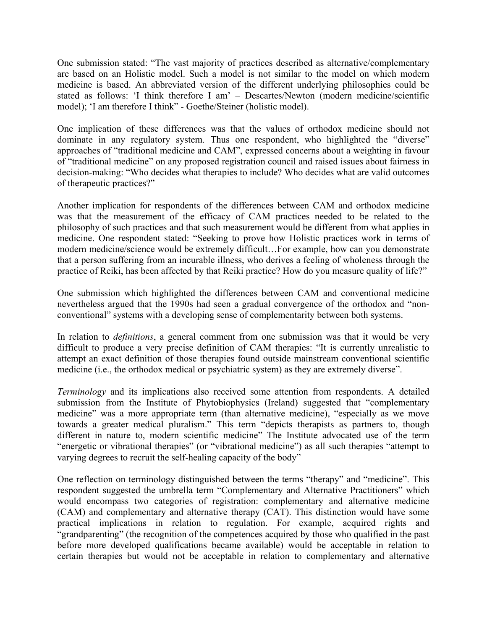One submission stated: "The vast majority of practices described as alternative/complementary are based on an Holistic model. Such a model is not similar to the model on which modern medicine is based. An abbreviated version of the different underlying philosophies could be stated as follows: 'I think therefore I am' – Descartes/Newton (modern medicine/scientific model); 'I am therefore I think" - Goethe/Steiner (holistic model).

One implication of these differences was that the values of orthodox medicine should not dominate in any regulatory system. Thus one respondent, who highlighted the "diverse" approaches of "traditional medicine and CAM", expressed concerns about a weighting in favour of "traditional medicine" on any proposed registration council and raised issues about fairness in decision-making: "Who decides what therapies to include? Who decides what are valid outcomes of therapeutic practices?"

Another implication for respondents of the differences between CAM and orthodox medicine was that the measurement of the efficacy of CAM practices needed to be related to the philosophy of such practices and that such measurement would be different from what applies in medicine. One respondent stated: "Seeking to prove how Holistic practices work in terms of modern medicine/science would be extremely difficult…For example, how can you demonstrate that a person suffering from an incurable illness, who derives a feeling of wholeness through the practice of Reiki, has been affected by that Reiki practice? How do you measure quality of life?"

One submission which highlighted the differences between CAM and conventional medicine nevertheless argued that the 1990s had seen a gradual convergence of the orthodox and "nonconventional" systems with a developing sense of complementarity between both systems.

In relation to *definitions*, a general comment from one submission was that it would be very difficult to produce a very precise definition of CAM therapies: "It is currently unrealistic to attempt an exact definition of those therapies found outside mainstream conventional scientific medicine (i.e., the orthodox medical or psychiatric system) as they are extremely diverse".

*Terminology* and its implications also received some attention from respondents. A detailed submission from the Institute of Phytobiophysics (Ireland) suggested that "complementary medicine" was a more appropriate term (than alternative medicine), "especially as we move towards a greater medical pluralism." This term "depicts therapists as partners to, though different in nature to, modern scientific medicine" The Institute advocated use of the term "energetic or vibrational therapies" (or "vibrational medicine") as all such therapies "attempt to varying degrees to recruit the self-healing capacity of the body"

One reflection on terminology distinguished between the terms "therapy" and "medicine". This respondent suggested the umbrella term "Complementary and Alternative Practitioners" which would encompass two categories of registration: complementary and alternative medicine (CAM) and complementary and alternative therapy (CAT). This distinction would have some practical implications in relation to regulation. For example, acquired rights and "grandparenting" (the recognition of the competences acquired by those who qualified in the past before more developed qualifications became available) would be acceptable in relation to certain therapies but would not be acceptable in relation to complementary and alternative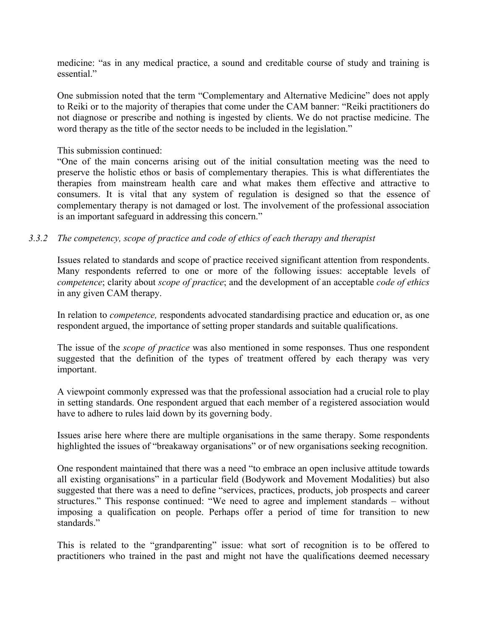medicine: "as in any medical practice, a sound and creditable course of study and training is essential."

One submission noted that the term "Complementary and Alternative Medicine" does not apply to Reiki or to the majority of therapies that come under the CAM banner: "Reiki practitioners do not diagnose or prescribe and nothing is ingested by clients. We do not practise medicine. The word therapy as the title of the sector needs to be included in the legislation."

This submission continued:

"One of the main concerns arising out of the initial consultation meeting was the need to preserve the holistic ethos or basis of complementary therapies. This is what differentiates the therapies from mainstream health care and what makes them effective and attractive to consumers. It is vital that any system of regulation is designed so that the essence of complementary therapy is not damaged or lost. The involvement of the professional association is an important safeguard in addressing this concern."

### *3.3.2 The competency, scope of practice and code of ethics of each therapy and therapist*

Issues related to standards and scope of practice received significant attention from respondents. Many respondents referred to one or more of the following issues: acceptable levels of *competence*; clarity about *scope of practice*; and the development of an acceptable *code of ethics* in any given CAM therapy.

In relation to *competence,* respondents advocated standardising practice and education or, as one respondent argued, the importance of setting proper standards and suitable qualifications.

The issue of the *scope of practice* was also mentioned in some responses. Thus one respondent suggested that the definition of the types of treatment offered by each therapy was very important.

A viewpoint commonly expressed was that the professional association had a crucial role to play in setting standards. One respondent argued that each member of a registered association would have to adhere to rules laid down by its governing body.

Issues arise here where there are multiple organisations in the same therapy. Some respondents highlighted the issues of "breakaway organisations" or of new organisations seeking recognition.

One respondent maintained that there was a need "to embrace an open inclusive attitude towards all existing organisations" in a particular field (Bodywork and Movement Modalities) but also suggested that there was a need to define "services, practices, products, job prospects and career structures." This response continued: "We need to agree and implement standards – without imposing a qualification on people. Perhaps offer a period of time for transition to new standards."

This is related to the "grandparenting" issue: what sort of recognition is to be offered to practitioners who trained in the past and might not have the qualifications deemed necessary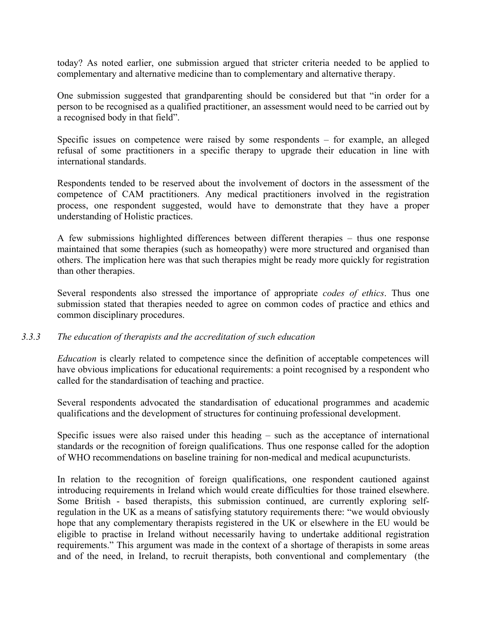today? As noted earlier, one submission argued that stricter criteria needed to be applied to complementary and alternative medicine than to complementary and alternative therapy.

One submission suggested that grandparenting should be considered but that "in order for a person to be recognised as a qualified practitioner, an assessment would need to be carried out by a recognised body in that field".

Specific issues on competence were raised by some respondents – for example, an alleged refusal of some practitioners in a specific therapy to upgrade their education in line with international standards.

Respondents tended to be reserved about the involvement of doctors in the assessment of the competence of CAM practitioners. Any medical practitioners involved in the registration process, one respondent suggested, would have to demonstrate that they have a proper understanding of Holistic practices.

A few submissions highlighted differences between different therapies – thus one response maintained that some therapies (such as homeopathy) were more structured and organised than others. The implication here was that such therapies might be ready more quickly for registration than other therapies.

Several respondents also stressed the importance of appropriate *codes of ethics*. Thus one submission stated that therapies needed to agree on common codes of practice and ethics and common disciplinary procedures.

### *3.3.3 The education of therapists and the accreditation of such education*

*Education* is clearly related to competence since the definition of acceptable competences will have obvious implications for educational requirements: a point recognised by a respondent who called for the standardisation of teaching and practice.

Several respondents advocated the standardisation of educational programmes and academic qualifications and the development of structures for continuing professional development.

Specific issues were also raised under this heading – such as the acceptance of international standards or the recognition of foreign qualifications. Thus one response called for the adoption of WHO recommendations on baseline training for non-medical and medical acupuncturists.

In relation to the recognition of foreign qualifications, one respondent cautioned against introducing requirements in Ireland which would create difficulties for those trained elsewhere. Some British - based therapists, this submission continued, are currently exploring selfregulation in the UK as a means of satisfying statutory requirements there: "we would obviously hope that any complementary therapists registered in the UK or elsewhere in the EU would be eligible to practise in Ireland without necessarily having to undertake additional registration requirements." This argument was made in the context of a shortage of therapists in some areas and of the need, in Ireland, to recruit therapists, both conventional and complementary (the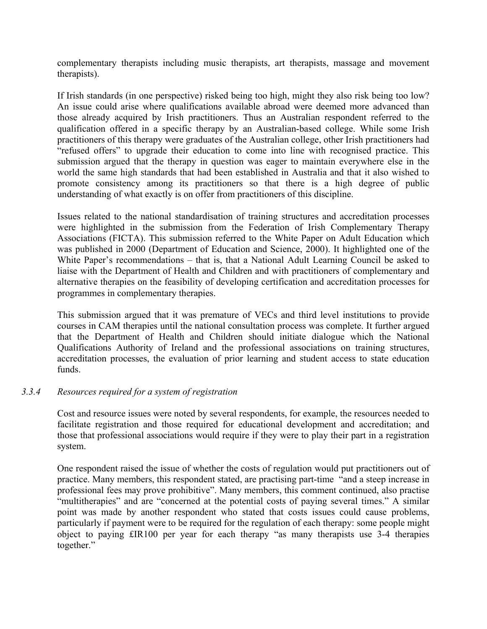complementary therapists including music therapists, art therapists, massage and movement therapists).

If Irish standards (in one perspective) risked being too high, might they also risk being too low? An issue could arise where qualifications available abroad were deemed more advanced than those already acquired by Irish practitioners. Thus an Australian respondent referred to the qualification offered in a specific therapy by an Australian-based college. While some Irish practitioners of this therapy were graduates of the Australian college, other Irish practitioners had "refused offers" to upgrade their education to come into line with recognised practice. This submission argued that the therapy in question was eager to maintain everywhere else in the world the same high standards that had been established in Australia and that it also wished to promote consistency among its practitioners so that there is a high degree of public understanding of what exactly is on offer from practitioners of this discipline.

Issues related to the national standardisation of training structures and accreditation processes were highlighted in the submission from the Federation of Irish Complementary Therapy Associations (FICTA). This submission referred to the White Paper on Adult Education which was published in 2000 (Department of Education and Science, 2000). It highlighted one of the White Paper's recommendations – that is, that a National Adult Learning Council be asked to liaise with the Department of Health and Children and with practitioners of complementary and alternative therapies on the feasibility of developing certification and accreditation processes for programmes in complementary therapies.

This submission argued that it was premature of VECs and third level institutions to provide courses in CAM therapies until the national consultation process was complete. It further argued that the Department of Health and Children should initiate dialogue which the National Qualifications Authority of Ireland and the professional associations on training structures, accreditation processes, the evaluation of prior learning and student access to state education funds.

### *3.3.4 Resources required for a system of registration*

Cost and resource issues were noted by several respondents, for example, the resources needed to facilitate registration and those required for educational development and accreditation; and those that professional associations would require if they were to play their part in a registration system.

One respondent raised the issue of whether the costs of regulation would put practitioners out of practice. Many members, this respondent stated, are practising part-time "and a steep increase in professional fees may prove prohibitive". Many members, this comment continued, also practise "multitherapies" and are "concerned at the potential costs of paying several times." A similar point was made by another respondent who stated that costs issues could cause problems, particularly if payment were to be required for the regulation of each therapy: some people might object to paying £IR100 per year for each therapy "as many therapists use 3-4 therapies together."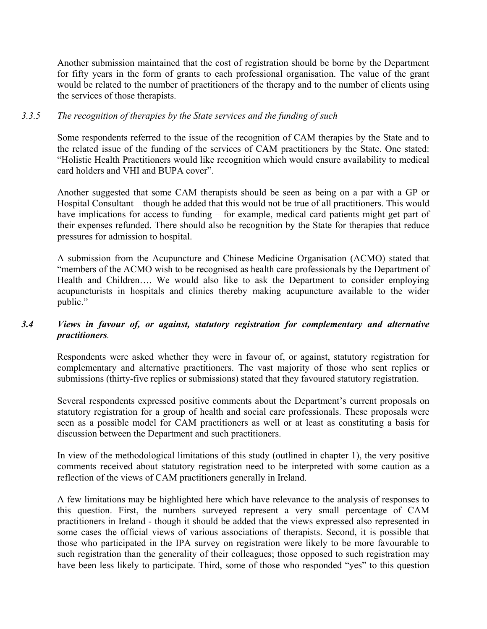Another submission maintained that the cost of registration should be borne by the Department for fifty years in the form of grants to each professional organisation. The value of the grant would be related to the number of practitioners of the therapy and to the number of clients using the services of those therapists.

### *3.3.5 The recognition of therapies by the State services and the funding of such*

Some respondents referred to the issue of the recognition of CAM therapies by the State and to the related issue of the funding of the services of CAM practitioners by the State. One stated: "Holistic Health Practitioners would like recognition which would ensure availability to medical card holders and VHI and BUPA cover".

Another suggested that some CAM therapists should be seen as being on a par with a GP or Hospital Consultant – though he added that this would not be true of all practitioners. This would have implications for access to funding – for example, medical card patients might get part of their expenses refunded. There should also be recognition by the State for therapies that reduce pressures for admission to hospital.

A submission from the Acupuncture and Chinese Medicine Organisation (ACMO) stated that "members of the ACMO wish to be recognised as health care professionals by the Department of Health and Children…. We would also like to ask the Department to consider employing acupuncturists in hospitals and clinics thereby making acupuncture available to the wider public."

### *3.4 Views in favour of, or against, statutory registration for complementary and alternative practitioners.*

Respondents were asked whether they were in favour of, or against, statutory registration for complementary and alternative practitioners. The vast majority of those who sent replies or submissions (thirty-five replies or submissions) stated that they favoured statutory registration.

Several respondents expressed positive comments about the Department's current proposals on statutory registration for a group of health and social care professionals. These proposals were seen as a possible model for CAM practitioners as well or at least as constituting a basis for discussion between the Department and such practitioners.

In view of the methodological limitations of this study (outlined in chapter 1), the very positive comments received about statutory registration need to be interpreted with some caution as a reflection of the views of CAM practitioners generally in Ireland.

A few limitations may be highlighted here which have relevance to the analysis of responses to this question. First, the numbers surveyed represent a very small percentage of CAM practitioners in Ireland - though it should be added that the views expressed also represented in some cases the official views of various associations of therapists. Second, it is possible that those who participated in the IPA survey on registration were likely to be more favourable to such registration than the generality of their colleagues; those opposed to such registration may have been less likely to participate. Third, some of those who responded "yes" to this question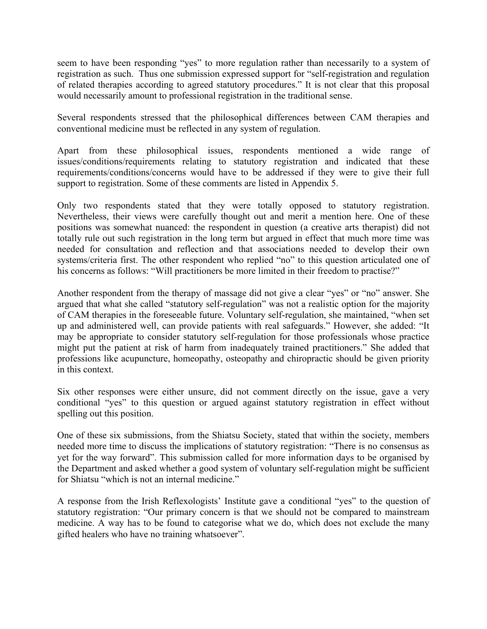seem to have been responding "yes" to more regulation rather than necessarily to a system of registration as such. Thus one submission expressed support for "self-registration and regulation of related therapies according to agreed statutory procedures." It is not clear that this proposal would necessarily amount to professional registration in the traditional sense.

Several respondents stressed that the philosophical differences between CAM therapies and conventional medicine must be reflected in any system of regulation.

Apart from these philosophical issues, respondents mentioned a wide range of issues/conditions/requirements relating to statutory registration and indicated that these requirements/conditions/concerns would have to be addressed if they were to give their full support to registration. Some of these comments are listed in Appendix 5.

Only two respondents stated that they were totally opposed to statutory registration. Nevertheless, their views were carefully thought out and merit a mention here. One of these positions was somewhat nuanced: the respondent in question (a creative arts therapist) did not totally rule out such registration in the long term but argued in effect that much more time was needed for consultation and reflection and that associations needed to develop their own systems/criteria first. The other respondent who replied "no" to this question articulated one of his concerns as follows: "Will practitioners be more limited in their freedom to practise?"

Another respondent from the therapy of massage did not give a clear "yes" or "no" answer. She argued that what she called "statutory self-regulation" was not a realistic option for the majority of CAM therapies in the foreseeable future. Voluntary self-regulation, she maintained, "when set up and administered well, can provide patients with real safeguards." However, she added: "It may be appropriate to consider statutory self-regulation for those professionals whose practice might put the patient at risk of harm from inadequately trained practitioners." She added that professions like acupuncture, homeopathy, osteopathy and chiropractic should be given priority in this context.

Six other responses were either unsure, did not comment directly on the issue, gave a very conditional "yes" to this question or argued against statutory registration in effect without spelling out this position.

One of these six submissions, from the Shiatsu Society, stated that within the society, members needed more time to discuss the implications of statutory registration: "There is no consensus as yet for the way forward". This submission called for more information days to be organised by the Department and asked whether a good system of voluntary self-regulation might be sufficient for Shiatsu "which is not an internal medicine."

A response from the Irish Reflexologists' Institute gave a conditional "yes" to the question of statutory registration: "Our primary concern is that we should not be compared to mainstream medicine. A way has to be found to categorise what we do, which does not exclude the many gifted healers who have no training whatsoever".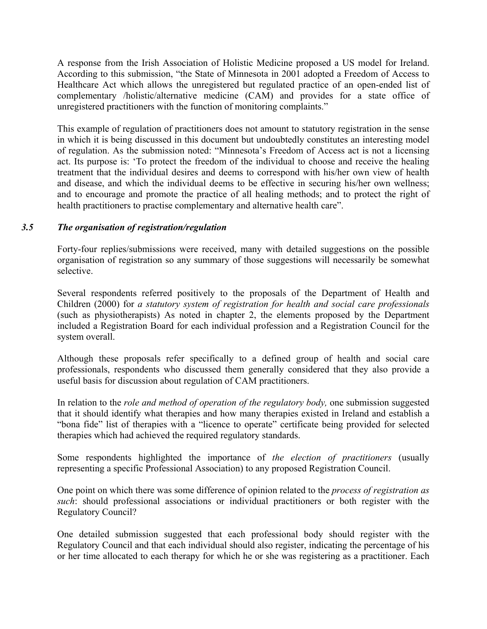A response from the Irish Association of Holistic Medicine proposed a US model for Ireland. According to this submission, "the State of Minnesota in 2001 adopted a Freedom of Access to Healthcare Act which allows the unregistered but regulated practice of an open-ended list of complementary /holistic/alternative medicine (CAM) and provides for a state office of unregistered practitioners with the function of monitoring complaints."

This example of regulation of practitioners does not amount to statutory registration in the sense in which it is being discussed in this document but undoubtedly constitutes an interesting model of regulation. As the submission noted: "Minnesota's Freedom of Access act is not a licensing act. Its purpose is: 'To protect the freedom of the individual to choose and receive the healing treatment that the individual desires and deems to correspond with his/her own view of health and disease, and which the individual deems to be effective in securing his/her own wellness; and to encourage and promote the practice of all healing methods; and to protect the right of health practitioners to practise complementary and alternative health care".

### *3.5 The organisation of registration/regulation*

Forty-four replies/submissions were received, many with detailed suggestions on the possible organisation of registration so any summary of those suggestions will necessarily be somewhat selective.

Several respondents referred positively to the proposals of the Department of Health and Children (2000) for *a statutory system of registration for health and social care professionals*  (such as physiotherapists) As noted in chapter 2, the elements proposed by the Department included a Registration Board for each individual profession and a Registration Council for the system overall.

Although these proposals refer specifically to a defined group of health and social care professionals, respondents who discussed them generally considered that they also provide a useful basis for discussion about regulation of CAM practitioners.

In relation to the *role and method of operation of the regulatory body,* one submission suggested that it should identify what therapies and how many therapies existed in Ireland and establish a "bona fide" list of therapies with a "licence to operate" certificate being provided for selected therapies which had achieved the required regulatory standards.

Some respondents highlighted the importance of *the election of practitioners* (usually representing a specific Professional Association) to any proposed Registration Council.

One point on which there was some difference of opinion related to the *process of registration as such*: should professional associations or individual practitioners or both register with the Regulatory Council?

One detailed submission suggested that each professional body should register with the Regulatory Council and that each individual should also register, indicating the percentage of his or her time allocated to each therapy for which he or she was registering as a practitioner. Each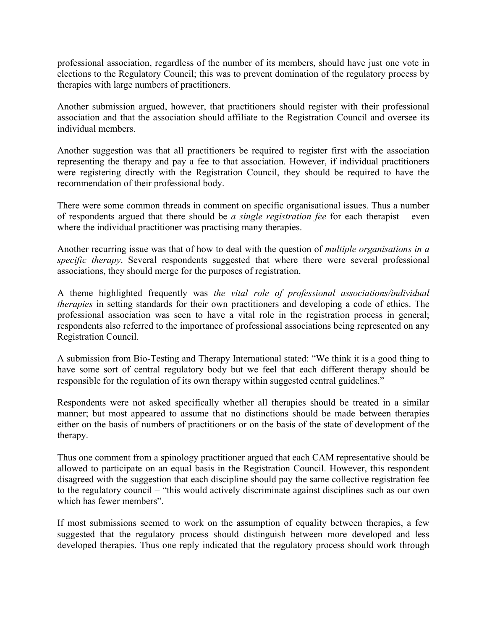professional association, regardless of the number of its members, should have just one vote in elections to the Regulatory Council; this was to prevent domination of the regulatory process by therapies with large numbers of practitioners.

Another submission argued, however, that practitioners should register with their professional association and that the association should affiliate to the Registration Council and oversee its individual members.

Another suggestion was that all practitioners be required to register first with the association representing the therapy and pay a fee to that association. However, if individual practitioners were registering directly with the Registration Council, they should be required to have the recommendation of their professional body.

There were some common threads in comment on specific organisational issues. Thus a number of respondents argued that there should be *a single registration fee* for each therapist – even where the individual practitioner was practising many therapies.

Another recurring issue was that of how to deal with the question of *multiple organisations in a specific therapy*. Several respondents suggested that where there were several professional associations, they should merge for the purposes of registration.

A theme highlighted frequently was *the vital role of professional associations/individual therapies* in setting standards for their own practitioners and developing a code of ethics. The professional association was seen to have a vital role in the registration process in general; respondents also referred to the importance of professional associations being represented on any Registration Council.

A submission from Bio-Testing and Therapy International stated: "We think it is a good thing to have some sort of central regulatory body but we feel that each different therapy should be responsible for the regulation of its own therapy within suggested central guidelines."

Respondents were not asked specifically whether all therapies should be treated in a similar manner; but most appeared to assume that no distinctions should be made between therapies either on the basis of numbers of practitioners or on the basis of the state of development of the therapy.

Thus one comment from a spinology practitioner argued that each CAM representative should be allowed to participate on an equal basis in the Registration Council. However, this respondent disagreed with the suggestion that each discipline should pay the same collective registration fee to the regulatory council – "this would actively discriminate against disciplines such as our own which has fewer members".

If most submissions seemed to work on the assumption of equality between therapies, a few suggested that the regulatory process should distinguish between more developed and less developed therapies. Thus one reply indicated that the regulatory process should work through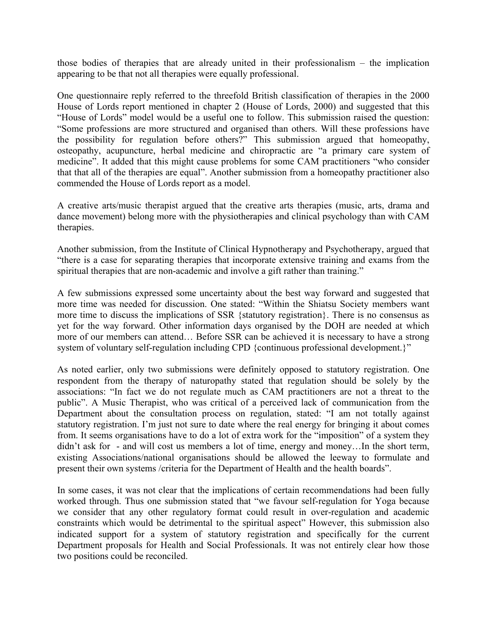those bodies of therapies that are already united in their professionalism – the implication appearing to be that not all therapies were equally professional.

One questionnaire reply referred to the threefold British classification of therapies in the 2000 House of Lords report mentioned in chapter 2 (House of Lords, 2000) and suggested that this "House of Lords" model would be a useful one to follow. This submission raised the question: "Some professions are more structured and organised than others. Will these professions have the possibility for regulation before others?" This submission argued that homeopathy, osteopathy, acupuncture, herbal medicine and chiropractic are "a primary care system of medicine". It added that this might cause problems for some CAM practitioners "who consider that that all of the therapies are equal". Another submission from a homeopathy practitioner also commended the House of Lords report as a model.

A creative arts/music therapist argued that the creative arts therapies (music, arts, drama and dance movement) belong more with the physiotherapies and clinical psychology than with CAM therapies.

Another submission, from the Institute of Clinical Hypnotherapy and Psychotherapy, argued that "there is a case for separating therapies that incorporate extensive training and exams from the spiritual therapies that are non-academic and involve a gift rather than training."

A few submissions expressed some uncertainty about the best way forward and suggested that more time was needed for discussion. One stated: "Within the Shiatsu Society members want more time to discuss the implications of SSR {statutory registration}. There is no consensus as yet for the way forward. Other information days organised by the DOH are needed at which more of our members can attend… Before SSR can be achieved it is necessary to have a strong system of voluntary self-regulation including CPD {continuous professional development.}"

As noted earlier, only two submissions were definitely opposed to statutory registration. One respondent from the therapy of naturopathy stated that regulation should be solely by the associations: "In fact we do not regulate much as CAM practitioners are not a threat to the public". A Music Therapist, who was critical of a perceived lack of communication from the Department about the consultation process on regulation, stated: "I am not totally against statutory registration. I'm just not sure to date where the real energy for bringing it about comes from. It seems organisations have to do a lot of extra work for the "imposition" of a system they didn't ask for - and will cost us members a lot of time, energy and money…In the short term, existing Associations/national organisations should be allowed the leeway to formulate and present their own systems /criteria for the Department of Health and the health boards".

In some cases, it was not clear that the implications of certain recommendations had been fully worked through. Thus one submission stated that "we favour self-regulation for Yoga because we consider that any other regulatory format could result in over-regulation and academic constraints which would be detrimental to the spiritual aspect" However, this submission also indicated support for a system of statutory registration and specifically for the current Department proposals for Health and Social Professionals. It was not entirely clear how those two positions could be reconciled.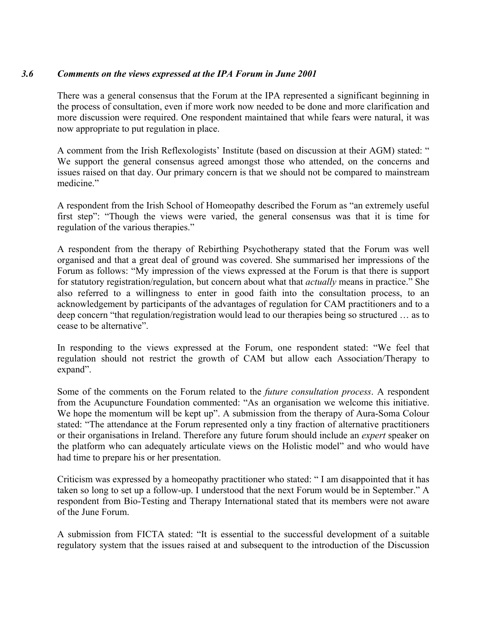### *3.6 Comments on the views expressed at the IPA Forum in June 2001*

There was a general consensus that the Forum at the IPA represented a significant beginning in the process of consultation, even if more work now needed to be done and more clarification and more discussion were required. One respondent maintained that while fears were natural, it was now appropriate to put regulation in place.

A comment from the Irish Reflexologists' Institute (based on discussion at their AGM) stated: " We support the general consensus agreed amongst those who attended, on the concerns and issues raised on that day. Our primary concern is that we should not be compared to mainstream medicine"

A respondent from the Irish School of Homeopathy described the Forum as "an extremely useful first step": "Though the views were varied, the general consensus was that it is time for regulation of the various therapies."

A respondent from the therapy of Rebirthing Psychotherapy stated that the Forum was well organised and that a great deal of ground was covered. She summarised her impressions of the Forum as follows: "My impression of the views expressed at the Forum is that there is support for statutory registration/regulation, but concern about what that *actually* means in practice." She also referred to a willingness to enter in good faith into the consultation process, to an acknowledgement by participants of the advantages of regulation for CAM practitioners and to a deep concern "that regulation/registration would lead to our therapies being so structured … as to cease to be alternative".

In responding to the views expressed at the Forum, one respondent stated: "We feel that regulation should not restrict the growth of CAM but allow each Association/Therapy to expand".

Some of the comments on the Forum related to the *future consultation process*. A respondent from the Acupuncture Foundation commented: "As an organisation we welcome this initiative. We hope the momentum will be kept up". A submission from the therapy of Aura-Soma Colour stated: "The attendance at the Forum represented only a tiny fraction of alternative practitioners or their organisations in Ireland. Therefore any future forum should include an *expert* speaker on the platform who can adequately articulate views on the Holistic model" and who would have had time to prepare his or her presentation.

Criticism was expressed by a homeopathy practitioner who stated: " I am disappointed that it has taken so long to set up a follow-up. I understood that the next Forum would be in September." A respondent from Bio-Testing and Therapy International stated that its members were not aware of the June Forum.

A submission from FICTA stated: "It is essential to the successful development of a suitable regulatory system that the issues raised at and subsequent to the introduction of the Discussion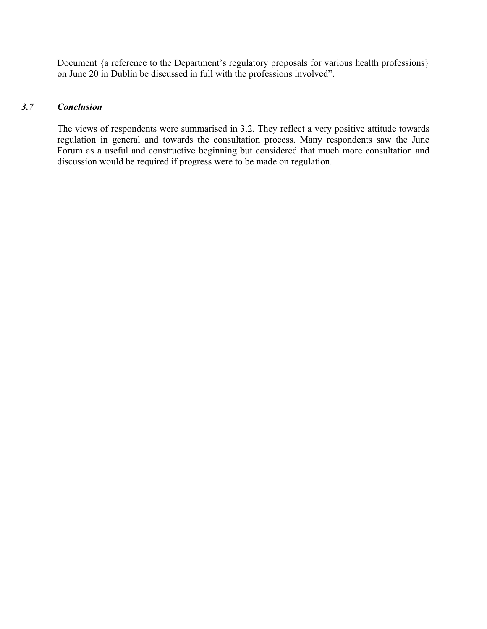Document {a reference to the Department's regulatory proposals for various health professions} on June 20 in Dublin be discussed in full with the professions involved".

# *3.7 Conclusion*

The views of respondents were summarised in 3.2. They reflect a very positive attitude towards regulation in general and towards the consultation process. Many respondents saw the June Forum as a useful and constructive beginning but considered that much more consultation and discussion would be required if progress were to be made on regulation.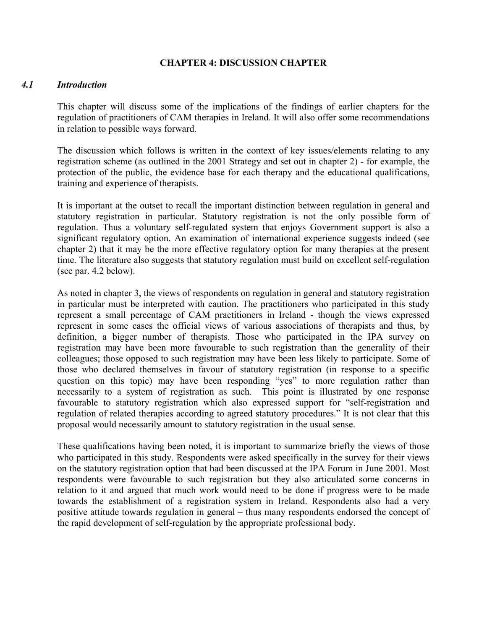### **CHAPTER 4: DISCUSSION CHAPTER**

#### *4.1 Introduction*

This chapter will discuss some of the implications of the findings of earlier chapters for the regulation of practitioners of CAM therapies in Ireland. It will also offer some recommendations in relation to possible ways forward.

The discussion which follows is written in the context of key issues/elements relating to any registration scheme (as outlined in the 2001 Strategy and set out in chapter 2) - for example, the protection of the public, the evidence base for each therapy and the educational qualifications, training and experience of therapists.

It is important at the outset to recall the important distinction between regulation in general and statutory registration in particular. Statutory registration is not the only possible form of regulation. Thus a voluntary self-regulated system that enjoys Government support is also a significant regulatory option. An examination of international experience suggests indeed (see chapter 2) that it may be the more effective regulatory option for many therapies at the present time. The literature also suggests that statutory regulation must build on excellent self-regulation (see par. 4.2 below).

As noted in chapter 3, the views of respondents on regulation in general and statutory registration in particular must be interpreted with caution. The practitioners who participated in this study represent a small percentage of CAM practitioners in Ireland - though the views expressed represent in some cases the official views of various associations of therapists and thus, by definition, a bigger number of therapists. Those who participated in the IPA survey on registration may have been more favourable to such registration than the generality of their colleagues; those opposed to such registration may have been less likely to participate. Some of those who declared themselves in favour of statutory registration (in response to a specific question on this topic) may have been responding "yes" to more regulation rather than necessarily to a system of registration as such. This point is illustrated by one response favourable to statutory registration which also expressed support for "self-registration and regulation of related therapies according to agreed statutory procedures." It is not clear that this proposal would necessarily amount to statutory registration in the usual sense.

These qualifications having been noted, it is important to summarize briefly the views of those who participated in this study. Respondents were asked specifically in the survey for their views on the statutory registration option that had been discussed at the IPA Forum in June 2001. Most respondents were favourable to such registration but they also articulated some concerns in relation to it and argued that much work would need to be done if progress were to be made towards the establishment of a registration system in Ireland. Respondents also had a very positive attitude towards regulation in general – thus many respondents endorsed the concept of the rapid development of self-regulation by the appropriate professional body.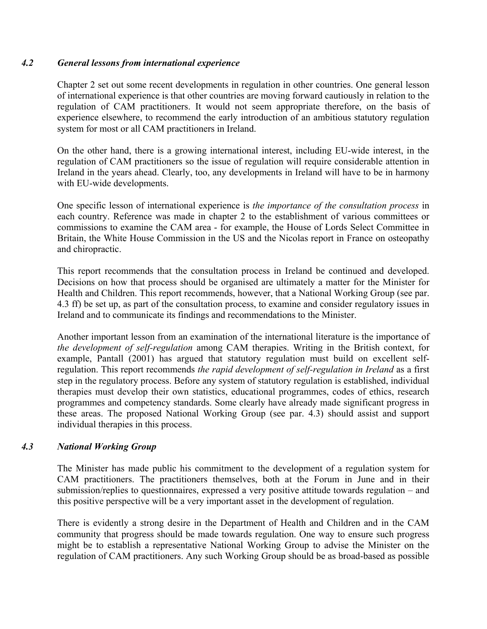### *4.2 General lessons from international experience*

Chapter 2 set out some recent developments in regulation in other countries. One general lesson of international experience is that other countries are moving forward cautiously in relation to the regulation of CAM practitioners. It would not seem appropriate therefore, on the basis of experience elsewhere, to recommend the early introduction of an ambitious statutory regulation system for most or all CAM practitioners in Ireland.

On the other hand, there is a growing international interest, including EU-wide interest, in the regulation of CAM practitioners so the issue of regulation will require considerable attention in Ireland in the years ahead. Clearly, too, any developments in Ireland will have to be in harmony with EU-wide developments.

One specific lesson of international experience is *the importance of the consultation process* in each country. Reference was made in chapter 2 to the establishment of various committees or commissions to examine the CAM area - for example, the House of Lords Select Committee in Britain, the White House Commission in the US and the Nicolas report in France on osteopathy and chiropractic.

This report recommends that the consultation process in Ireland be continued and developed. Decisions on how that process should be organised are ultimately a matter for the Minister for Health and Children. This report recommends, however, that a National Working Group (see par. 4.3 ff) be set up, as part of the consultation process, to examine and consider regulatory issues in Ireland and to communicate its findings and recommendations to the Minister.

Another important lesson from an examination of the international literature is the importance of *the development of self-regulation* among CAM therapies. Writing in the British context, for example, Pantall (2001) has argued that statutory regulation must build on excellent selfregulation. This report recommends *the rapid development of self-regulation in Ireland* as a first step in the regulatory process. Before any system of statutory regulation is established, individual therapies must develop their own statistics, educational programmes, codes of ethics, research programmes and competency standards. Some clearly have already made significant progress in these areas. The proposed National Working Group (see par. 4.3) should assist and support individual therapies in this process.

### *4.3 National Working Group*

The Minister has made public his commitment to the development of a regulation system for CAM practitioners. The practitioners themselves, both at the Forum in June and in their submission/replies to questionnaires, expressed a very positive attitude towards regulation – and this positive perspective will be a very important asset in the development of regulation.

There is evidently a strong desire in the Department of Health and Children and in the CAM community that progress should be made towards regulation. One way to ensure such progress might be to establish a representative National Working Group to advise the Minister on the regulation of CAM practitioners. Any such Working Group should be as broad-based as possible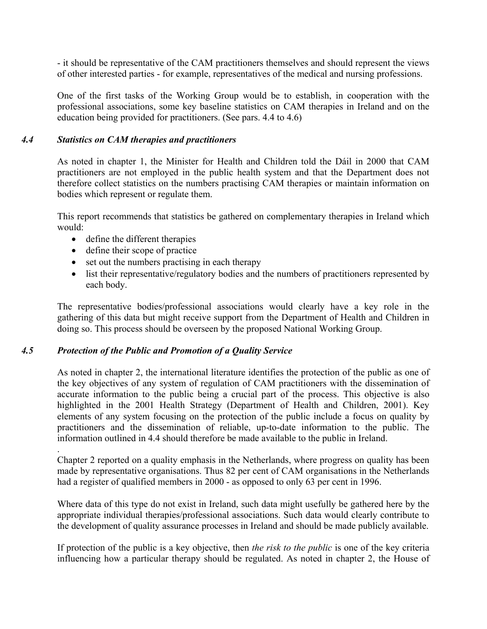- it should be representative of the CAM practitioners themselves and should represent the views of other interested parties - for example, representatives of the medical and nursing professions.

One of the first tasks of the Working Group would be to establish, in cooperation with the professional associations, some key baseline statistics on CAM therapies in Ireland and on the education being provided for practitioners. (See pars. 4.4 to 4.6)

### *4.4 Statistics on CAM therapies and practitioners*

As noted in chapter 1, the Minister for Health and Children told the Dáil in 2000 that CAM practitioners are not employed in the public health system and that the Department does not therefore collect statistics on the numbers practising CAM therapies or maintain information on bodies which represent or regulate them.

This report recommends that statistics be gathered on complementary therapies in Ireland which would:

- define the different therapies
- define their scope of practice

.

- set out the numbers practising in each therapy
- list their representative/regulatory bodies and the numbers of practitioners represented by each body.

The representative bodies/professional associations would clearly have a key role in the gathering of this data but might receive support from the Department of Health and Children in doing so. This process should be overseen by the proposed National Working Group.

### *4.5 Protection of the Public and Promotion of a Quality Service*

As noted in chapter 2, the international literature identifies the protection of the public as one of the key objectives of any system of regulation of CAM practitioners with the dissemination of accurate information to the public being a crucial part of the process. This objective is also highlighted in the 2001 Health Strategy (Department of Health and Children, 2001). Key elements of any system focusing on the protection of the public include a focus on quality by practitioners and the dissemination of reliable, up-to-date information to the public. The information outlined in 4.4 should therefore be made available to the public in Ireland.

Chapter 2 reported on a quality emphasis in the Netherlands, where progress on quality has been made by representative organisations. Thus 82 per cent of CAM organisations in the Netherlands had a register of qualified members in 2000 - as opposed to only 63 per cent in 1996.

Where data of this type do not exist in Ireland, such data might usefully be gathered here by the appropriate individual therapies/professional associations. Such data would clearly contribute to the development of quality assurance processes in Ireland and should be made publicly available.

If protection of the public is a key objective, then *the risk to the public* is one of the key criteria influencing how a particular therapy should be regulated. As noted in chapter 2, the House of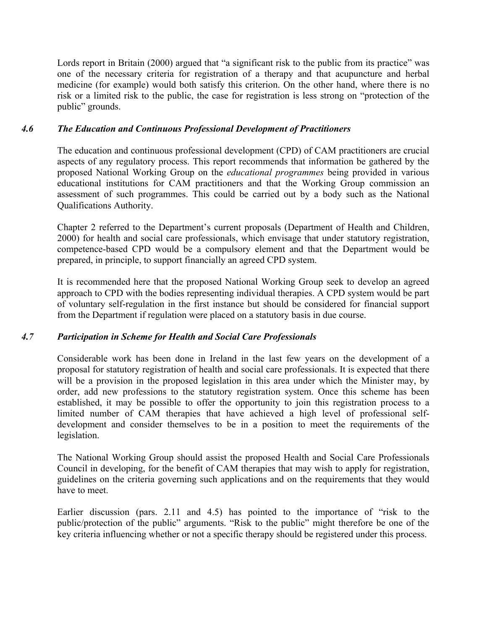Lords report in Britain (2000) argued that "a significant risk to the public from its practice" was one of the necessary criteria for registration of a therapy and that acupuncture and herbal medicine (for example) would both satisfy this criterion. On the other hand, where there is no risk or a limited risk to the public, the case for registration is less strong on "protection of the public" grounds.

### *4.6 The Education and Continuous Professional Development of Practitioners*

The education and continuous professional development (CPD) of CAM practitioners are crucial aspects of any regulatory process. This report recommends that information be gathered by the proposed National Working Group on the *educational programmes* being provided in various educational institutions for CAM practitioners and that the Working Group commission an assessment of such programmes. This could be carried out by a body such as the National Qualifications Authority.

Chapter 2 referred to the Department's current proposals (Department of Health and Children, 2000) for health and social care professionals, which envisage that under statutory registration, competence-based CPD would be a compulsory element and that the Department would be prepared, in principle, to support financially an agreed CPD system.

It is recommended here that the proposed National Working Group seek to develop an agreed approach to CPD with the bodies representing individual therapies. A CPD system would be part of voluntary self-regulation in the first instance but should be considered for financial support from the Department if regulation were placed on a statutory basis in due course.

### *4.7 Participation in Scheme for Health and Social Care Professionals*

Considerable work has been done in Ireland in the last few years on the development of a proposal for statutory registration of health and social care professionals. It is expected that there will be a provision in the proposed legislation in this area under which the Minister may, by order, add new professions to the statutory registration system. Once this scheme has been established, it may be possible to offer the opportunity to join this registration process to a limited number of CAM therapies that have achieved a high level of professional selfdevelopment and consider themselves to be in a position to meet the requirements of the legislation.

The National Working Group should assist the proposed Health and Social Care Professionals Council in developing, for the benefit of CAM therapies that may wish to apply for registration, guidelines on the criteria governing such applications and on the requirements that they would have to meet.

Earlier discussion (pars. 2.11 and 4.5) has pointed to the importance of "risk to the public/protection of the public" arguments. "Risk to the public" might therefore be one of the key criteria influencing whether or not a specific therapy should be registered under this process.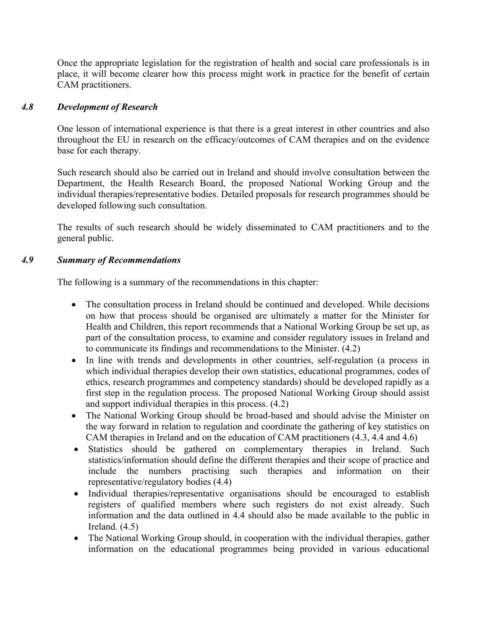Once the appropriate legislation for the registration of health and social care professionals is in place, it will become clearer how this process might work in practice for the benefit of certain CAM practitioners.

### *4.8 Development of Research*

One lesson of international experience is that there is a great interest in other countries and also throughout the EU in research on the efficacy/outcomes of CAM therapies and on the evidence base for each therapy.

Such research should also be carried out in Ireland and should involve consultation between the Department, the Health Research Board, the proposed National Working Group and the individual therapies/representative bodies. Detailed proposals for research programmes should be developed following such consultation.

The results of such research should be widely disseminated to CAM practitioners and to the general public.

### *4.9 Summary of Recommendations*

The following is a summary of the recommendations in this chapter:

- The consultation process in Ireland should be continued and developed. While decisions on how that process should be organised are ultimately a matter for the Minister for Health and Children, this report recommends that a National Working Group be set up, as part of the consultation process, to examine and consider regulatory issues in Ireland and to communicate its findings and recommendations to the Minister. (4.2)
- In line with trends and developments in other countries, self-regulation (a process in which individual therapies develop their own statistics, educational programmes, codes of ethics, research programmes and competency standards) should be developed rapidly as a first step in the regulation process. The proposed National Working Group should assist and support individual therapies in this process. (4.2)
- The National Working Group should be broad-based and should advise the Minister on the way forward in relation to regulation and coordinate the gathering of key statistics on CAM therapies in Ireland and on the education of CAM practitioners (4.3, 4.4 and 4.6)
- Statistics should be gathered on complementary therapies in Ireland. Such statistics/information should define the different therapies and their scope of practice and include the numbers practising such therapies and information on their representative/regulatory bodies (4.4)
- Individual therapies/representative organisations should be encouraged to establish registers of qualified members where such registers do not exist already. Such information and the data outlined in 4.4 should also be made available to the public in Ireland. (4.5)
- The National Working Group should, in cooperation with the individual therapies, gather information on the educational programmes being provided in various educational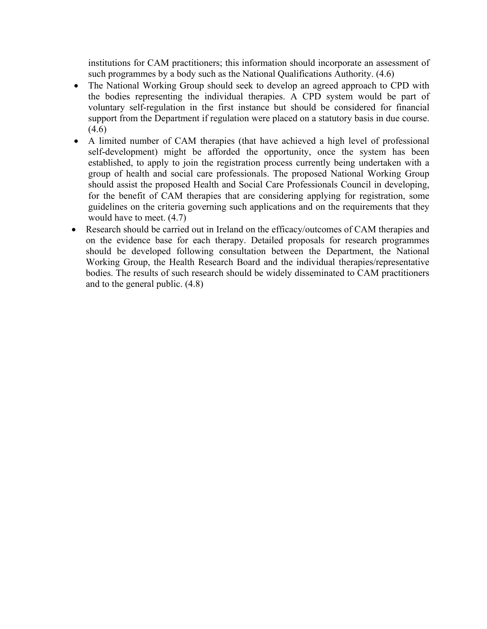institutions for CAM practitioners; this information should incorporate an assessment of such programmes by a body such as the National Qualifications Authority. (4.6)

- The National Working Group should seek to develop an agreed approach to CPD with the bodies representing the individual therapies. A CPD system would be part of voluntary self-regulation in the first instance but should be considered for financial support from the Department if regulation were placed on a statutory basis in due course. (4.6)
- A limited number of CAM therapies (that have achieved a high level of professional self-development) might be afforded the opportunity, once the system has been established, to apply to join the registration process currently being undertaken with a group of health and social care professionals. The proposed National Working Group should assist the proposed Health and Social Care Professionals Council in developing, for the benefit of CAM therapies that are considering applying for registration, some guidelines on the criteria governing such applications and on the requirements that they would have to meet. (4.7)
- Research should be carried out in Ireland on the efficacy/outcomes of CAM therapies and on the evidence base for each therapy. Detailed proposals for research programmes should be developed following consultation between the Department, the National Working Group, the Health Research Board and the individual therapies/representative bodies. The results of such research should be widely disseminated to CAM practitioners and to the general public. (4.8)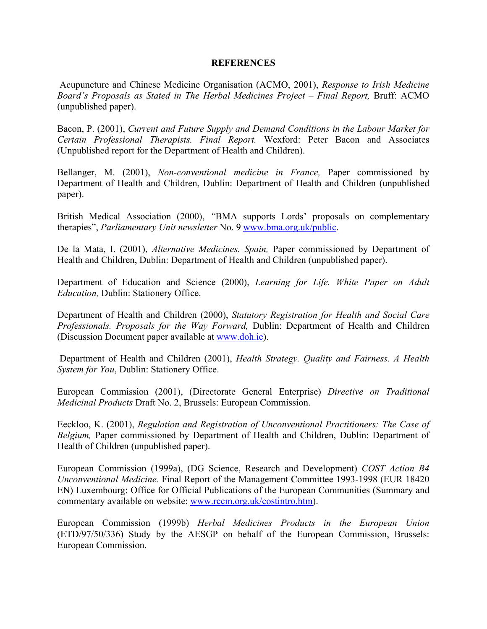#### **REFERENCES**

 Acupuncture and Chinese Medicine Organisation (ACMO, 2001), *Response to Irish Medicine Board's Proposals as Stated in The Herbal Medicines Project – Final Report,* Bruff: ACMO (unpublished paper).

Bacon, P. (2001), *Current and Future Supply and Demand Conditions in the Labour Market for Certain Professional Therapists. Final Report.* Wexford: Peter Bacon and Associates (Unpublished report for the Department of Health and Children).

Bellanger, M. (2001), *Non-conventional medicine in France,* Paper commissioned by Department of Health and Children, Dublin: Department of Health and Children (unpublished paper).

British Medical Association (2000), *"*BMA supports Lords' proposals on complementary therapies", *Parliamentary Unit newsletter* No. 9 www.bma.org.uk/public.

De la Mata, I. (2001), *Alternative Medicines. Spain,* Paper commissioned by Department of Health and Children, Dublin: Department of Health and Children (unpublished paper).

Department of Education and Science (2000), *Learning for Life. White Paper on Adult Education,* Dublin: Stationery Office.

Department of Health and Children (2000), *Statutory Registration for Health and Social Care Professionals. Proposals for the Way Forward,* Dublin: Department of Health and Children (Discussion Document paper available at www.doh.ie).

 Department of Health and Children (2001), *Health Strategy. Quality and Fairness. A Health System for You*, Dublin: Stationery Office.

European Commission (2001), (Directorate General Enterprise) *Directive on Traditional Medicinal Products* Draft No. 2, Brussels: European Commission.

Eeckloo, K. (2001), *Regulation and Registration of Unconventional Practitioners: The Case of Belgium,* Paper commissioned by Department of Health and Children, Dublin: Department of Health of Children (unpublished paper).

European Commission (1999a), (DG Science, Research and Development) *COST Action B4 Unconventional Medicine.* Final Report of the Management Committee 1993-1998 (EUR 18420 EN) Luxembourg: Office for Official Publications of the European Communities (Summary and commentary available on website: www.rccm.org.uk/costintro.htm).

European Commission (1999b) *Herbal Medicines Products in the European Union*  (ETD/97/50/336) Study by the AESGP on behalf of the European Commission, Brussels: European Commission.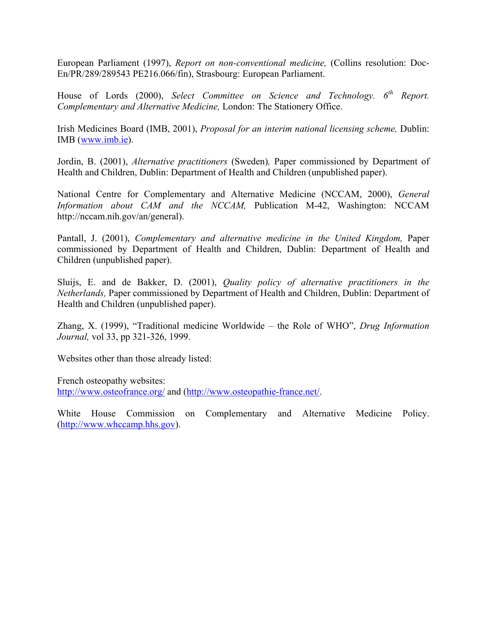European Parliament (1997), *Report on non-conventional medicine,* (Collins resolution: Doc-En/PR/289/289543 PE216.066/fin), Strasbourg: European Parliament.

House of Lords (2000), *Select Committee on Science and Technology*.  $6^{th}$  Report. *Complementary and Alternative Medicine,* London: The Stationery Office.

Irish Medicines Board (IMB, 2001), *Proposal for an interim national licensing scheme,* Dublin: IMB (www.imb.ie).

Jordin, B. (2001), *Alternative practitioners* (Sweden)*,* Paper commissioned by Department of Health and Children, Dublin: Department of Health and Children (unpublished paper).

National Centre for Complementary and Alternative Medicine (NCCAM, 2000), *General Information about CAM and the NCCAM,* Publication M-42, Washington: NCCAM http://nccam.nih.gov/an/general).

Pantall, J. (2001), *Complementary and alternative medicine in the United Kingdom*, Paper commissioned by Department of Health and Children, Dublin: Department of Health and Children (unpublished paper).

Sluijs, E. and de Bakker, D. (2001), *Quality policy of alternative practitioners in the Netherlands,* Paper commissioned by Department of Health and Children, Dublin: Department of Health and Children (unpublished paper).

Zhang, X. (1999), "Traditional medicine Worldwide – the Role of WHO", *Drug Information Journal,* vol 33, pp 321-326, 1999.

Websites other than those already listed:

French osteopathy websites: http://www.osteofrance.org/ and (http://www.osteopathie-france.net/.

White House Commission on Complementary and Alternative Medicine Policy. (http://www.whccamp.hhs.gov).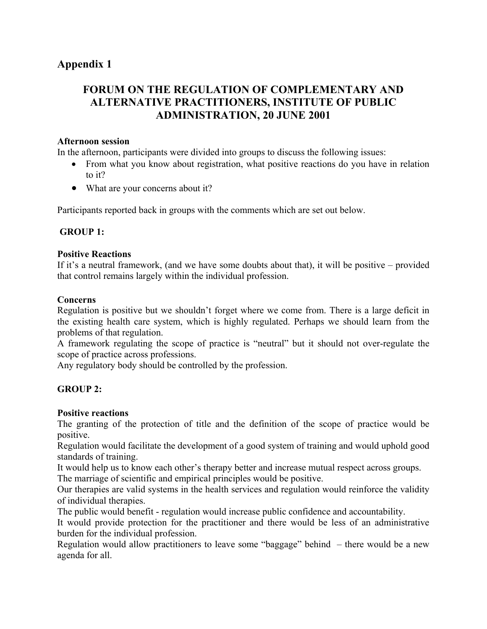# **Appendix 1**

# **FORUM ON THE REGULATION OF COMPLEMENTARY AND ALTERNATIVE PRACTITIONERS, INSTITUTE OF PUBLIC ADMINISTRATION, 20 JUNE 2001**

### **Afternoon session**

In the afternoon, participants were divided into groups to discuss the following issues:

- From what you know about registration, what positive reactions do you have in relation to it?
- What are your concerns about it?

Participants reported back in groups with the comments which are set out below.

# **GROUP 1:**

### **Positive Reactions**

If it's a neutral framework, (and we have some doubts about that), it will be positive – provided that control remains largely within the individual profession.

### **Concerns**

Regulation is positive but we shouldn't forget where we come from. There is a large deficit in the existing health care system, which is highly regulated. Perhaps we should learn from the problems of that regulation.

A framework regulating the scope of practice is "neutral" but it should not over-regulate the scope of practice across professions.

Any regulatory body should be controlled by the profession.

### **GROUP 2:**

### **Positive reactions**

The granting of the protection of title and the definition of the scope of practice would be positive.

Regulation would facilitate the development of a good system of training and would uphold good standards of training.

It would help us to know each other's therapy better and increase mutual respect across groups.

The marriage of scientific and empirical principles would be positive.

Our therapies are valid systems in the health services and regulation would reinforce the validity of individual therapies.

The public would benefit - regulation would increase public confidence and accountability.

It would provide protection for the practitioner and there would be less of an administrative burden for the individual profession.

Regulation would allow practitioners to leave some "baggage" behind – there would be a new agenda for all.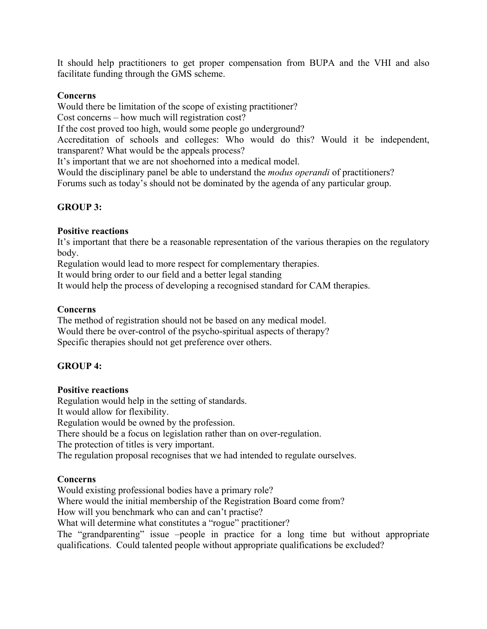It should help practitioners to get proper compensation from BUPA and the VHI and also facilitate funding through the GMS scheme.

### **Concerns**

Would there be limitation of the scope of existing practitioner? Cost concerns – how much will registration cost? If the cost proved too high, would some people go underground?

Accreditation of schools and colleges: Who would do this? Would it be independent, transparent? What would be the appeals process?

It's important that we are not shoehorned into a medical model.

Would the disciplinary panel be able to understand the *modus operandi* of practitioners? Forums such as today's should not be dominated by the agenda of any particular group.

### **GROUP 3:**

### **Positive reactions**

It's important that there be a reasonable representation of the various therapies on the regulatory body.

Regulation would lead to more respect for complementary therapies.

It would bring order to our field and a better legal standing

It would help the process of developing a recognised standard for CAM therapies.

### **Concerns**

The method of registration should not be based on any medical model. Would there be over-control of the psycho-spiritual aspects of therapy? Specific therapies should not get preference over others.

### **GROUP 4:**

### **Positive reactions**

Regulation would help in the setting of standards.

It would allow for flexibility.

Regulation would be owned by the profession.

There should be a focus on legislation rather than on over-regulation.

The protection of titles is very important.

The regulation proposal recognises that we had intended to regulate ourselves.

### **Concerns**

Would existing professional bodies have a primary role?

Where would the initial membership of the Registration Board come from?

How will you benchmark who can and can't practise?

What will determine what constitutes a "rogue" practitioner?

The "grandparenting" issue –people in practice for a long time but without appropriate qualifications. Could talented people without appropriate qualifications be excluded?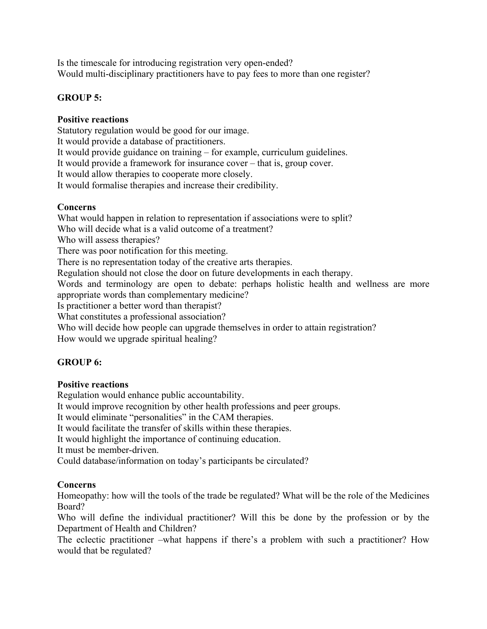Is the timescale for introducing registration very open-ended? Would multi-disciplinary practitioners have to pay fees to more than one register?

### **GROUP 5:**

### **Positive reactions**

Statutory regulation would be good for our image.

It would provide a database of practitioners.

It would provide guidance on training – for example, curriculum guidelines.

It would provide a framework for insurance cover – that is, group cover.

It would allow therapies to cooperate more closely.

It would formalise therapies and increase their credibility.

# **Concerns**

What would happen in relation to representation if associations were to split?

Who will decide what is a valid outcome of a treatment?

Who will assess therapies?

There was poor notification for this meeting.

There is no representation today of the creative arts therapies.

Regulation should not close the door on future developments in each therapy.

Words and terminology are open to debate: perhaps holistic health and wellness are more appropriate words than complementary medicine?

Is practitioner a better word than therapist?

What constitutes a professional association?

Who will decide how people can upgrade themselves in order to attain registration?

How would we upgrade spiritual healing?

# **GROUP 6:**

# **Positive reactions**

Regulation would enhance public accountability.

It would improve recognition by other health professions and peer groups.

It would eliminate "personalities" in the CAM therapies.

It would facilitate the transfer of skills within these therapies.

It would highlight the importance of continuing education.

It must be member-driven.

Could database/information on today's participants be circulated?

# **Concerns**

Homeopathy: how will the tools of the trade be regulated? What will be the role of the Medicines Board?

Who will define the individual practitioner? Will this be done by the profession or by the Department of Health and Children?

The eclectic practitioner –what happens if there's a problem with such a practitioner? How would that be regulated?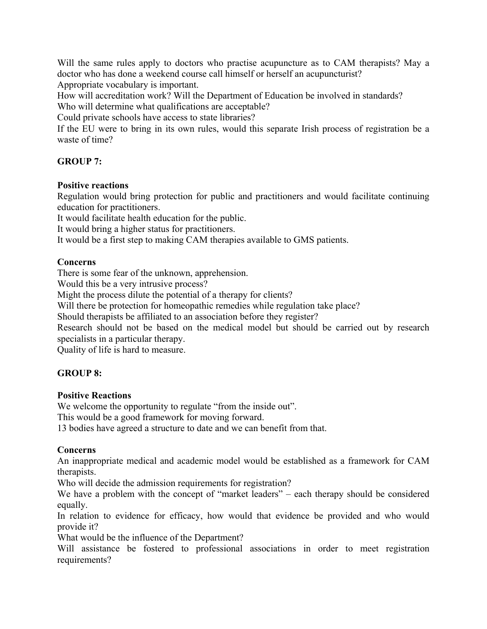Will the same rules apply to doctors who practise acupuncture as to CAM therapists? May a doctor who has done a weekend course call himself or herself an acupuncturist?

Appropriate vocabulary is important.

How will accreditation work? Will the Department of Education be involved in standards? Who will determine what qualifications are acceptable?

Could private schools have access to state libraries?

If the EU were to bring in its own rules, would this separate Irish process of registration be a waste of time?

# **GROUP 7:**

### **Positive reactions**

Regulation would bring protection for public and practitioners and would facilitate continuing education for practitioners.

It would facilitate health education for the public.

It would bring a higher status for practitioners.

It would be a first step to making CAM therapies available to GMS patients.

### **Concerns**

There is some fear of the unknown, apprehension.

Would this be a very intrusive process?

Might the process dilute the potential of a therapy for clients?

Will there be protection for homeopathic remedies while regulation take place?

Should therapists be affiliated to an association before they register?

Research should not be based on the medical model but should be carried out by research specialists in a particular therapy.

Quality of life is hard to measure.

### **GROUP 8:**

### **Positive Reactions**

We welcome the opportunity to regulate "from the inside out".

This would be a good framework for moving forward.

13 bodies have agreed a structure to date and we can benefit from that.

### **Concerns**

An inappropriate medical and academic model would be established as a framework for CAM therapists.

Who will decide the admission requirements for registration?

We have a problem with the concept of "market leaders" – each therapy should be considered equally.

In relation to evidence for efficacy, how would that evidence be provided and who would provide it?

What would be the influence of the Department?

Will assistance be fostered to professional associations in order to meet registration requirements?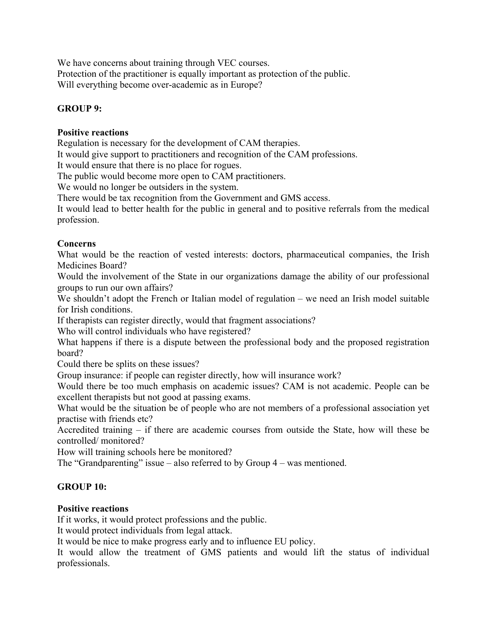We have concerns about training through VEC courses. Protection of the practitioner is equally important as protection of the public. Will everything become over-academic as in Europe?

### **GROUP 9:**

### **Positive reactions**

Regulation is necessary for the development of CAM therapies.

It would give support to practitioners and recognition of the CAM professions.

It would ensure that there is no place for rogues.

The public would become more open to CAM practitioners.

We would no longer be outsiders in the system.

There would be tax recognition from the Government and GMS access.

It would lead to better health for the public in general and to positive referrals from the medical profession.

### **Concerns**

What would be the reaction of vested interests: doctors, pharmaceutical companies, the Irish Medicines Board?

Would the involvement of the State in our organizations damage the ability of our professional groups to run our own affairs?

We shouldn't adopt the French or Italian model of regulation – we need an Irish model suitable for Irish conditions.

If therapists can register directly, would that fragment associations?

Who will control individuals who have registered?

What happens if there is a dispute between the professional body and the proposed registration board?

Could there be splits on these issues?

Group insurance: if people can register directly, how will insurance work?

Would there be too much emphasis on academic issues? CAM is not academic. People can be excellent therapists but not good at passing exams.

What would be the situation be of people who are not members of a professional association yet practise with friends etc?

Accredited training – if there are academic courses from outside the State, how will these be controlled/ monitored?

How will training schools here be monitored?

The "Grandparenting" issue – also referred to by Group 4 – was mentioned.

### **GROUP 10:**

### **Positive reactions**

If it works, it would protect professions and the public.

It would protect individuals from legal attack.

It would be nice to make progress early and to influence EU policy.

It would allow the treatment of GMS patients and would lift the status of individual professionals.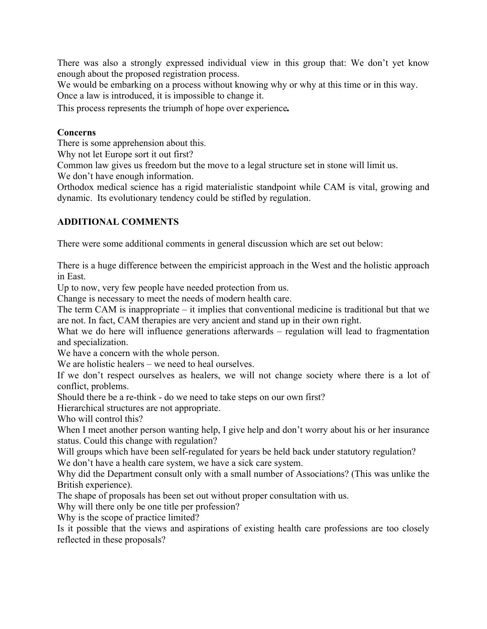There was also a strongly expressed individual view in this group that: We don't yet know enough about the proposed registration process.

We would be embarking on a process without knowing why or why at this time or in this way.

Once a law is introduced, it is impossible to change it.

This process represents the triumph of hope over experience*.*

### **Concerns**

There is some apprehension about this.

Why not let Europe sort it out first?

Common law gives us freedom but the move to a legal structure set in stone will limit us.

We don't have enough information.

Orthodox medical science has a rigid materialistic standpoint while CAM is vital, growing and dynamic. Its evolutionary tendency could be stifled by regulation.

### **ADDITIONAL COMMENTS**

There were some additional comments in general discussion which are set out below:

There is a huge difference between the empiricist approach in the West and the holistic approach in East.

Up to now, very few people have needed protection from us.

Change is necessary to meet the needs of modern health care.

The term CAM is inappropriate – it implies that conventional medicine is traditional but that we are not. In fact, CAM therapies are very ancient and stand up in their own right.

What we do here will influence generations afterwards – regulation will lead to fragmentation and specialization.

We have a concern with the whole person.

We are holistic healers – we need to heal ourselves.

If we don't respect ourselves as healers, we will not change society where there is a lot of conflict, problems.

Should there be a re-think - do we need to take steps on our own first?

Hierarchical structures are not appropriate.

Who will control this?

When I meet another person wanting help, I give help and don't worry about his or her insurance status. Could this change with regulation?

Will groups which have been self-regulated for years be held back under statutory regulation? We don't have a health care system, we have a sick care system.

Why did the Department consult only with a small number of Associations? (This was unlike the British experience).

The shape of proposals has been set out without proper consultation with us.

Why will there only be one title per profession?

Why is the scope of practice limited?

Is it possible that the views and aspirations of existing health care professions are too closely reflected in these proposals?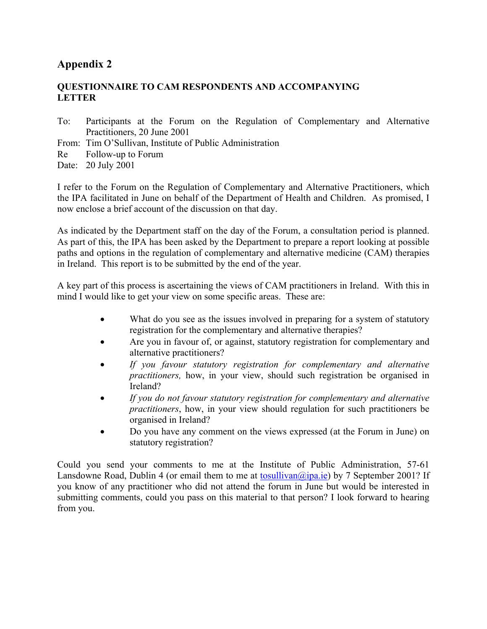# **Appendix 2**

# **QUESTIONNAIRE TO CAM RESPONDENTS AND ACCOMPANYING LETTER**

- To: Participants at the Forum on the Regulation of Complementary and Alternative Practitioners, 20 June 2001
- From: Tim O'Sullivan, Institute of Public Administration
- Re Follow-up to Forum
- Date: 20 July 2001

I refer to the Forum on the Regulation of Complementary and Alternative Practitioners, which the IPA facilitated in June on behalf of the Department of Health and Children. As promised, I now enclose a brief account of the discussion on that day.

As indicated by the Department staff on the day of the Forum, a consultation period is planned. As part of this, the IPA has been asked by the Department to prepare a report looking at possible paths and options in the regulation of complementary and alternative medicine (CAM) therapies in Ireland. This report is to be submitted by the end of the year.

A key part of this process is ascertaining the views of CAM practitioners in Ireland. With this in mind I would like to get your view on some specific areas. These are:

- What do you see as the issues involved in preparing for a system of statutory registration for the complementary and alternative therapies?
- Are you in favour of, or against, statutory registration for complementary and alternative practitioners?
- *If you favour statutory registration for complementary and alternative practitioners,* how, in your view, should such registration be organised in Ireland?
- *If you do not favour statutory registration for complementary and alternative practitioners*, how, in your view should regulation for such practitioners be organised in Ireland?
- Do you have any comment on the views expressed (at the Forum in June) on statutory registration?

Could you send your comments to me at the Institute of Public Administration, 57-61 Lansdowne Road, Dublin 4 (or email them to me at tosullivan@ipa.ie) by 7 September 2001? If you know of any practitioner who did not attend the forum in June but would be interested in submitting comments, could you pass on this material to that person? I look forward to hearing from you.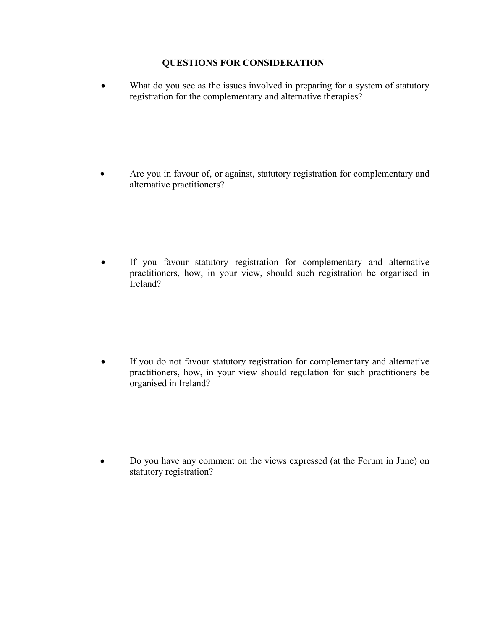### **QUESTIONS FOR CONSIDERATION**

• What do you see as the issues involved in preparing for a system of statutory registration for the complementary and alternative therapies?

• Are you in favour of, or against, statutory registration for complementary and alternative practitioners?

• If you favour statutory registration for complementary and alternative practitioners, how, in your view, should such registration be organised in Ireland?

• If you do not favour statutory registration for complementary and alternative practitioners, how, in your view should regulation for such practitioners be organised in Ireland?

• Do you have any comment on the views expressed (at the Forum in June) on statutory registration?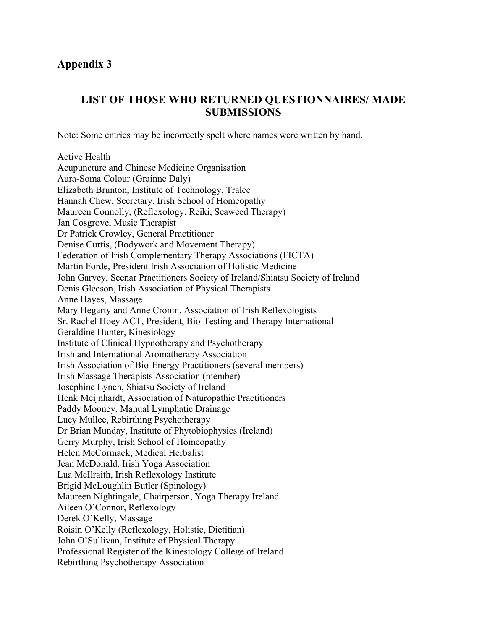# **Appendix 3**

# **LIST OF THOSE WHO RETURNED QUESTIONNAIRES/ MADE SUBMISSIONS**

Note: Some entries may be incorrectly spelt where names were written by hand.

Active Health Acupuncture and Chinese Medicine Organisation Aura-Soma Colour (Grainne Daly) Elizabeth Brunton, Institute of Technology, Tralee Hannah Chew, Secretary, Irish School of Homeopathy Maureen Connolly, (Reflexology, Reiki, Seaweed Therapy) Jan Cosgrove, Music Therapist Dr Patrick Crowley, General Practitioner Denise Curtis, (Bodywork and Movement Therapy) Federation of Irish Complementary Therapy Associations (FICTA) Martin Forde, President Irish Association of Holistic Medicine John Garvey, Scenar Practitioners Society of Ireland/Shiatsu Society of Ireland Denis Gleeson, Irish Association of Physical Therapists Anne Hayes, Massage Mary Hegarty and Anne Cronin, Association of Irish Reflexologists Sr. Rachel Hoey ACT, President, Bio-Testing and Therapy International Geraldine Hunter, Kinesiology Institute of Clinical Hypnotherapy and Psychotherapy Irish and International Aromatherapy Association Irish Association of Bio-Energy Practitioners (several members) Irish Massage Therapists Association (member) Josephine Lynch, Shiatsu Society of Ireland Henk Meijnhardt, Association of Naturopathic Practitioners Paddy Mooney, Manual Lymphatic Drainage Lucy Mullee, Rebirthing Psychotherapy Dr Brian Munday, Institute of Phytobiophysics (Ireland) Gerry Murphy, Irish School of Homeopathy Helen McCormack, Medical Herbalist Jean McDonald, Irish Yoga Association Lua McIlraith, Irish Reflexology Institute Brigid McLoughlin Butler (Spinology) Maureen Nightingale, Chairperson, Yoga Therapy Ireland Aileen O'Connor, Reflexology Derek O'Kelly, Massage Roisin O'Kelly (Reflexology, Holistic, Dietitian) John O'Sullivan, Institute of Physical Therapy Professional Register of the Kinesiology College of Ireland Rebirthing Psychotherapy Association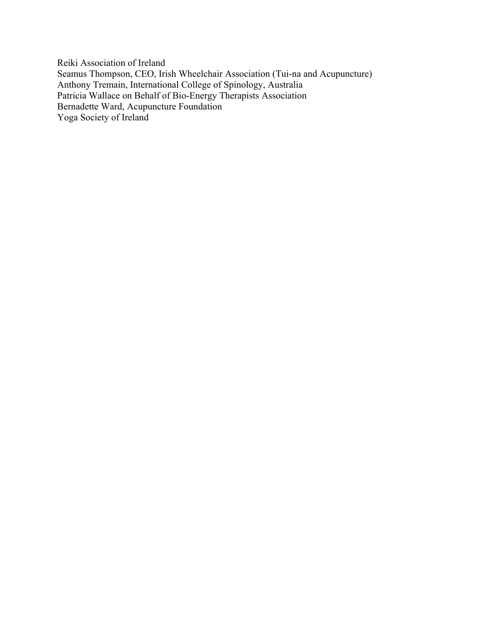Reiki Association of Ireland Seamus Thompson, CEO, Irish Wheelchair Association (Tui-na and Acupuncture) Anthony Tremain, International College of Spinology, Australia Patricia Wallace on Behalf of Bio-Energy Therapists Association Bernadette Ward, Acupuncture Foundation Yoga Society of Ireland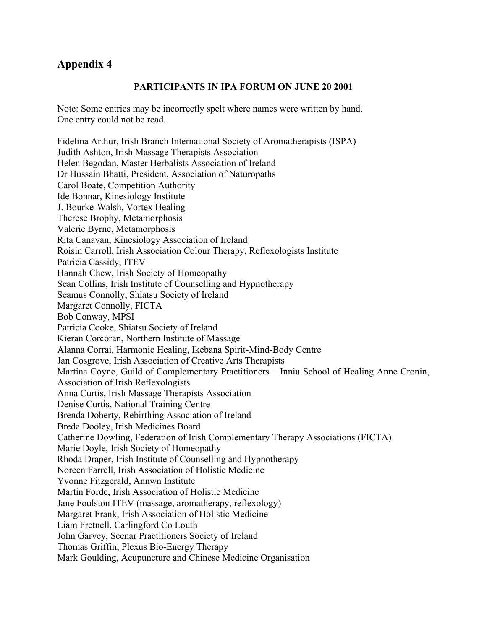# **Appendix 4**

### **PARTICIPANTS IN IPA FORUM ON JUNE 20 2001**

Note: Some entries may be incorrectly spelt where names were written by hand. One entry could not be read.

Fidelma Arthur, Irish Branch International Society of Aromatherapists (ISPA) Judith Ashton, Irish Massage Therapists Association Helen Begodan, Master Herbalists Association of Ireland Dr Hussain Bhatti, President, Association of Naturopaths Carol Boate, Competition Authority Ide Bonnar, Kinesiology Institute J. Bourke-Walsh, Vortex Healing Therese Brophy, Metamorphosis Valerie Byrne, Metamorphosis Rita Canavan, Kinesiology Association of Ireland Roisin Carroll, Irish Association Colour Therapy, Reflexologists Institute Patricia Cassidy, ITEV Hannah Chew, Irish Society of Homeopathy Sean Collins, Irish Institute of Counselling and Hypnotherapy Seamus Connolly, Shiatsu Society of Ireland Margaret Connolly, FICTA Bob Conway, MPSI Patricia Cooke, Shiatsu Society of Ireland Kieran Corcoran, Northern Institute of Massage Alanna Corrai, Harmonic Healing, Ikebana Spirit-Mind-Body Centre Jan Cosgrove, Irish Association of Creative Arts Therapists Martina Coyne, Guild of Complementary Practitioners – Inniu School of Healing Anne Cronin, Association of Irish Reflexologists Anna Curtis, Irish Massage Therapists Association Denise Curtis, National Training Centre Brenda Doherty, Rebirthing Association of Ireland Breda Dooley, Irish Medicines Board Catherine Dowling, Federation of Irish Complementary Therapy Associations (FICTA) Marie Doyle, Irish Society of Homeopathy Rhoda Draper, Irish Institute of Counselling and Hypnotherapy Noreen Farrell, Irish Association of Holistic Medicine Yvonne Fitzgerald, Annwn Institute Martin Forde, Irish Association of Holistic Medicine Jane Foulston ITEV (massage, aromatherapy, reflexology) Margaret Frank, Irish Association of Holistic Medicine Liam Fretnell, Carlingford Co Louth John Garvey, Scenar Practitioners Society of Ireland Thomas Griffin, Plexus Bio-Energy Therapy Mark Goulding, Acupuncture and Chinese Medicine Organisation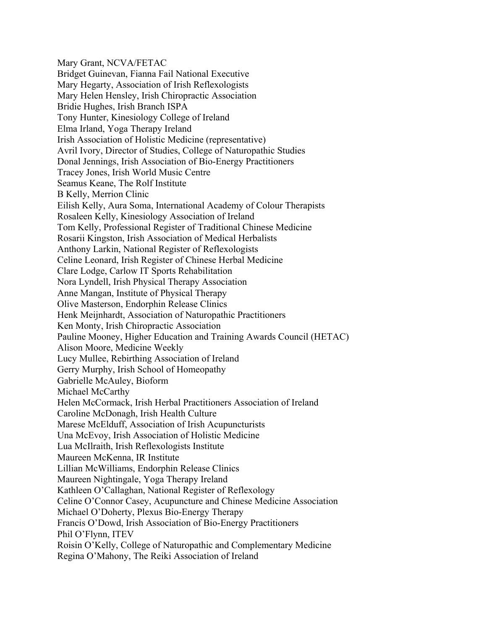Mary Grant, NCVA/FETAC Bridget Guinevan, Fianna Fail National Executive Mary Hegarty, Association of Irish Reflexologists Mary Helen Hensley, Irish Chiropractic Association Bridie Hughes, Irish Branch ISPA Tony Hunter, Kinesiology College of Ireland Elma Irland, Yoga Therapy Ireland Irish Association of Holistic Medicine (representative) Avril Ivory, Director of Studies, College of Naturopathic Studies Donal Jennings, Irish Association of Bio-Energy Practitioners Tracey Jones, Irish World Music Centre Seamus Keane, The Rolf Institute B Kelly, Merrion Clinic Eilish Kelly, Aura Soma, International Academy of Colour Therapists Rosaleen Kelly, Kinesiology Association of Ireland Tom Kelly, Professional Register of Traditional Chinese Medicine Rosarii Kingston, Irish Association of Medical Herbalists Anthony Larkin, National Register of Reflexologists Celine Leonard, Irish Register of Chinese Herbal Medicine Clare Lodge, Carlow IT Sports Rehabilitation Nora Lyndell, Irish Physical Therapy Association Anne Mangan, Institute of Physical Therapy Olive Masterson, Endorphin Release Clinics Henk Meijnhardt, Association of Naturopathic Practitioners Ken Monty, Irish Chiropractic Association Pauline Mooney, Higher Education and Training Awards Council (HETAC) Alison Moore, Medicine Weekly Lucy Mullee, Rebirthing Association of Ireland Gerry Murphy, Irish School of Homeopathy Gabrielle McAuley, Bioform Michael McCarthy Helen McCormack, Irish Herbal Practitioners Association of Ireland Caroline McDonagh, Irish Health Culture Marese McElduff, Association of Irish Acupuncturists Una McEvoy, Irish Association of Holistic Medicine Lua McIlraith, Irish Reflexologists Institute Maureen McKenna, IR Institute Lillian McWilliams, Endorphin Release Clinics Maureen Nightingale, Yoga Therapy Ireland Kathleen O'Callaghan, National Register of Reflexology Celine O'Connor Casey, Acupuncture and Chinese Medicine Association Michael O'Doherty, Plexus Bio-Energy Therapy Francis O'Dowd, Irish Association of Bio-Energy Practitioners Phil O'Flynn, ITEV Roisin O'Kelly, College of Naturopathic and Complementary Medicine Regina O'Mahony, The Reiki Association of Ireland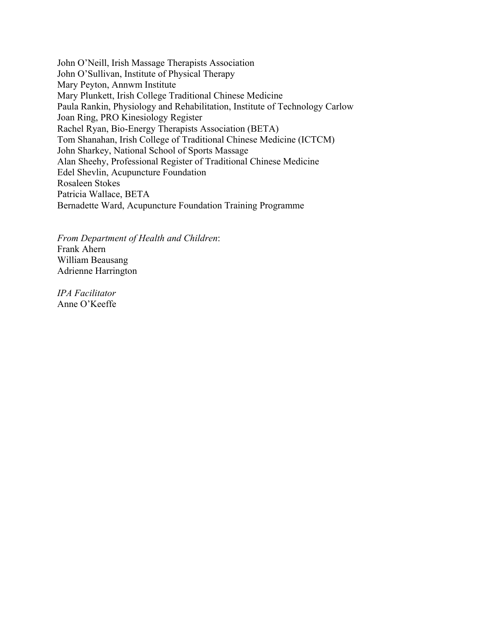John O'Neill, Irish Massage Therapists Association John O'Sullivan, Institute of Physical Therapy Mary Peyton, Annwm Institute Mary Plunkett, Irish College Traditional Chinese Medicine Paula Rankin, Physiology and Rehabilitation, Institute of Technology Carlow Joan Ring, PRO Kinesiology Register Rachel Ryan, Bio-Energy Therapists Association (BETA) Tom Shanahan, Irish College of Traditional Chinese Medicine (ICTCM) John Sharkey, National School of Sports Massage Alan Sheehy, Professional Register of Traditional Chinese Medicine Edel Shevlin, Acupuncture Foundation Rosaleen Stokes Patricia Wallace, BETA Bernadette Ward, Acupuncture Foundation Training Programme

*From Department of Health and Children*: Frank Ahern William Beausang Adrienne Harrington

*IPA Facilitator*  Anne O'Keeffe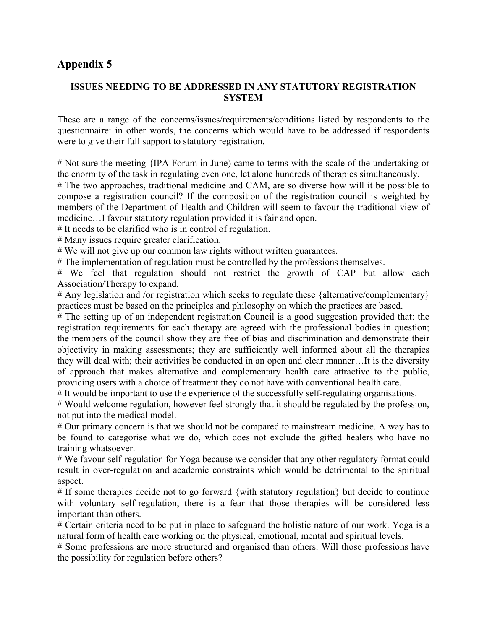# **Appendix 5**

### **ISSUES NEEDING TO BE ADDRESSED IN ANY STATUTORY REGISTRATION SYSTEM**

These are a range of the concerns/issues/requirements/conditions listed by respondents to the questionnaire: in other words, the concerns which would have to be addressed if respondents were to give their full support to statutory registration.

# Not sure the meeting {IPA Forum in June) came to terms with the scale of the undertaking or the enormity of the task in regulating even one, let alone hundreds of therapies simultaneously.

# The two approaches, traditional medicine and CAM, are so diverse how will it be possible to compose a registration council? If the composition of the registration council is weighted by members of the Department of Health and Children will seem to favour the traditional view of medicine…I favour statutory regulation provided it is fair and open.

# It needs to be clarified who is in control of regulation.

# Many issues require greater clarification.

# We will not give up our common law rights without written guarantees.

# The implementation of regulation must be controlled by the professions themselves.

# We feel that regulation should not restrict the growth of CAP but allow each Association/Therapy to expand.

# Any legislation and /or registration which seeks to regulate these {alternative/complementary} practices must be based on the principles and philosophy on which the practices are based.

# The setting up of an independent registration Council is a good suggestion provided that: the registration requirements for each therapy are agreed with the professional bodies in question; the members of the council show they are free of bias and discrimination and demonstrate their objectivity in making assessments; they are sufficiently well informed about all the therapies they will deal with; their activities be conducted in an open and clear manner…It is the diversity of approach that makes alternative and complementary health care attractive to the public, providing users with a choice of treatment they do not have with conventional health care.

# It would be important to use the experience of the successfully self-regulating organisations.

# Would welcome regulation, however feel strongly that it should be regulated by the profession, not put into the medical model.

# Our primary concern is that we should not be compared to mainstream medicine. A way has to be found to categorise what we do, which does not exclude the gifted healers who have no training whatsoever.

# We favour self-regulation for Yoga because we consider that any other regulatory format could result in over-regulation and academic constraints which would be detrimental to the spiritual aspect.

# If some therapies decide not to go forward {with statutory regulation} but decide to continue with voluntary self-regulation, there is a fear that those therapies will be considered less important than others.

# Certain criteria need to be put in place to safeguard the holistic nature of our work. Yoga is a natural form of health care working on the physical, emotional, mental and spiritual levels.

# Some professions are more structured and organised than others. Will those professions have the possibility for regulation before others?